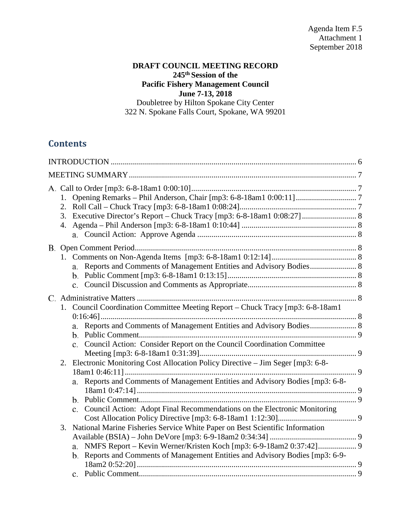## **DRAFT COUNCIL MEETING RECORD 245th Session of the Pacific Fishery Management Council June 7-13, 2018**

Doubletree by Hilton Spokane City Center 322 N. Spokane Falls Court, Spokane, WA 99201

# **Contents**

|    | a. Reports and Comments of Management Entities and Advisory Bodies 8                                                                                                                                                                                                                                                                                                                                                                                                                            |  |
|----|-------------------------------------------------------------------------------------------------------------------------------------------------------------------------------------------------------------------------------------------------------------------------------------------------------------------------------------------------------------------------------------------------------------------------------------------------------------------------------------------------|--|
| 3. | 1. Council Coordination Committee Meeting Report – Chuck Tracy [mp3: 6-8-18am1]<br>c. Council Action: Consider Report on the Council Coordination Committee<br>2. Electronic Monitoring Cost Allocation Policy Directive – Jim Seger [mp3: 6-8-<br>a. Reports and Comments of Management Entities and Advisory Bodies [mp3: 6-8-<br>c. Council Action: Adopt Final Recommendations on the Electronic Monitoring<br>National Marine Fisheries Service White Paper on Best Scientific Information |  |
|    | a.<br>b. Reports and Comments of Management Entities and Advisory Bodies [mp3: 6-9-                                                                                                                                                                                                                                                                                                                                                                                                             |  |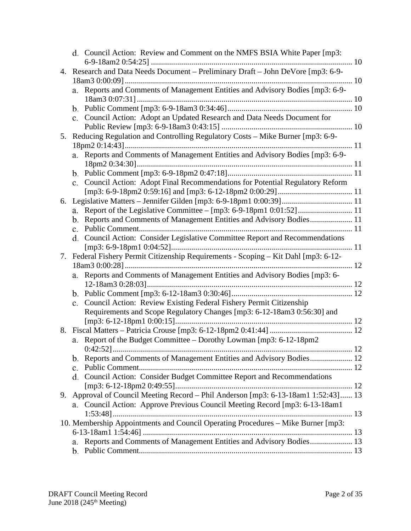|    | d. Council Action: Review and Comment on the NMFS BSIA White Paper [mp3:                   |
|----|--------------------------------------------------------------------------------------------|
|    |                                                                                            |
|    | 4. Research and Data Needs Document - Preliminary Draft - John DeVore [mp3: 6-9-           |
|    |                                                                                            |
|    | Reports and Comments of Management Entities and Advisory Bodies [mp3: 6-9-<br>a.           |
|    |                                                                                            |
|    | c. Council Action: Adopt an Updated Research and Data Needs Document for                   |
|    |                                                                                            |
|    | 5. Reducing Regulation and Controlling Regulatory Costs - Mike Burner [mp3: 6-9-           |
|    |                                                                                            |
|    | a. Reports and Comments of Management Entities and Advisory Bodies [mp3: 6-9-              |
|    |                                                                                            |
|    |                                                                                            |
|    | Council Action: Adopt Final Recommendations for Potential Regulatory Reform<br>$c_{\cdot}$ |
|    |                                                                                            |
|    |                                                                                            |
|    | a.                                                                                         |
|    | b. Reports and Comments of Management Entities and Advisory Bodies 11                      |
|    |                                                                                            |
|    | d. Council Action: Consider Legislative Committee Report and Recommendations               |
|    |                                                                                            |
|    | 7. Federal Fishery Permit Citizenship Requirements - Scoping - Kit Dahl [mp3: 6-12-        |
|    | Reports and Comments of Management Entities and Advisory Bodies [mp3: 6-                   |
|    | a.                                                                                         |
|    |                                                                                            |
|    | Council Action: Review Existing Federal Fishery Permit Citizenship<br>$c_{\cdot}$          |
|    | Requirements and Scope Regulatory Changes [mp3: 6-12-18am3 0:56:30] and                    |
|    |                                                                                            |
|    |                                                                                            |
|    | a. Report of the Budget Committee - Dorothy Lowman [mp3: 6-12-18pm2]                       |
|    |                                                                                            |
|    | Reports and Comments of Management Entities and Advisory Bodies 12<br>b.                   |
|    | c.                                                                                         |
|    | d. Council Action: Consider Budget Committee Report and Recommendations                    |
|    |                                                                                            |
| 9. | Approval of Council Meeting Record – Phil Anderson [mp3: 6-13-18am1 1:52:43] 13            |
|    | a. Council Action: Approve Previous Council Meeting Record [mp3: 6-13-18am1]               |
|    |                                                                                            |
|    | 10. Membership Appointments and Council Operating Procedures - Mike Burner [mp3:           |
|    | Reports and Comments of Management Entities and Advisory Bodies 13                         |
|    | a.                                                                                         |
|    |                                                                                            |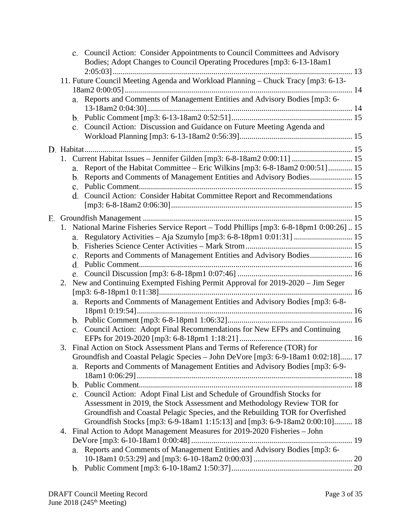|    | c. Council Action: Consider Appointments to Council Committees and Advisory<br>Bodies; Adopt Changes to Council Operating Procedures [mp3: 6-13-18am1 |  |
|----|-------------------------------------------------------------------------------------------------------------------------------------------------------|--|
|    |                                                                                                                                                       |  |
|    | 11. Future Council Meeting Agenda and Workload Planning - Chuck Tracy [mp3: 6-13-                                                                     |  |
|    | a. Reports and Comments of Management Entities and Advisory Bodies [mp3: 6-                                                                           |  |
|    |                                                                                                                                                       |  |
|    |                                                                                                                                                       |  |
|    | c. Council Action: Discussion and Guidance on Future Meeting Agenda and                                                                               |  |
|    |                                                                                                                                                       |  |
|    |                                                                                                                                                       |  |
|    | 1. Current Habitat Issues - Jennifer Gilden [mp3: 6-8-18am2 0:00:11]  15                                                                              |  |
|    | Report of the Habitat Committee - Eric Wilkins [mp3: 6-8-18am2 0:00:51] 15<br>a.                                                                      |  |
|    | b. Reports and Comments of Management Entities and Advisory Bodies 15                                                                                 |  |
|    |                                                                                                                                                       |  |
|    | d. Council Action: Consider Habitat Committee Report and Recommendations                                                                              |  |
|    |                                                                                                                                                       |  |
|    |                                                                                                                                                       |  |
|    | 1. National Marine Fisheries Service Report - Todd Phillips [mp3: 6-8-18pm1 0:00:26]15                                                                |  |
|    | a.                                                                                                                                                    |  |
|    | b.                                                                                                                                                    |  |
|    | Reports and Comments of Management Entities and Advisory Bodies 16<br>c.                                                                              |  |
|    |                                                                                                                                                       |  |
| 2. | New and Continuing Exempted Fishing Permit Approval for 2019-2020 - Jim Seger                                                                         |  |
|    |                                                                                                                                                       |  |
|    | a. Reports and Comments of Management Entities and Advisory Bodies [mp3: 6-8-                                                                         |  |
|    |                                                                                                                                                       |  |
|    |                                                                                                                                                       |  |
|    | c. Council Action: Adopt Final Recommendations for New EFPs and Continuing                                                                            |  |
|    |                                                                                                                                                       |  |
| 3. | Final Action on Stock Assessment Plans and Terms of Reference (TOR) for                                                                               |  |
|    | Groundfish and Coastal Pelagic Species - John DeVore [mp3: 6-9-18am1 0:02:18] 17                                                                      |  |
|    | Reports and Comments of Management Entities and Advisory Bodies [mp3: 6-9-<br>a.                                                                      |  |
|    |                                                                                                                                                       |  |
|    | c. Council Action: Adopt Final List and Schedule of Groundfish Stocks for                                                                             |  |
|    | Assessment in 2019, the Stock Assessment and Methodology Review TOR for                                                                               |  |
|    | Groundfish and Coastal Pelagic Species, and the Rebuilding TOR for Overfished                                                                         |  |
|    | Groundfish Stocks [mp3: 6-9-18am1 1:15:13] and [mp3: 6-9-18am2 0:00:10] 18                                                                            |  |
|    | 4. Final Action to Adopt Management Measures for 2019-2020 Fisheries - John                                                                           |  |
|    |                                                                                                                                                       |  |
|    | Reports and Comments of Management Entities and Advisory Bodies [mp3: 6-<br>a.                                                                        |  |
|    |                                                                                                                                                       |  |
|    |                                                                                                                                                       |  |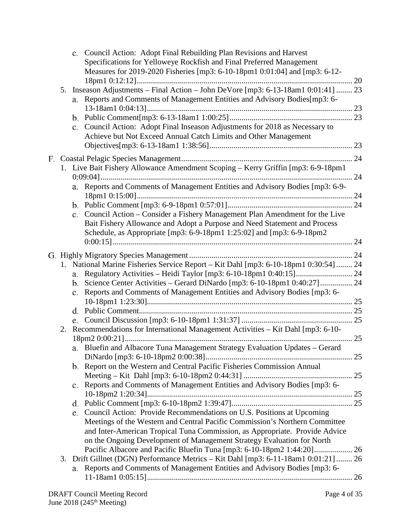|    | c. Council Action: Adopt Final Rebuilding Plan Revisions and Harvest<br>Specifications for Yelloweye Rockfish and Final Preferred Management<br>Measures for 2019-2020 Fisheries [mp3: 6-10-18pm1 0:01:04] and [mp3: 6-12-                         |  |
|----|----------------------------------------------------------------------------------------------------------------------------------------------------------------------------------------------------------------------------------------------------|--|
| 5. | Inseason Adjustments - Final Action - John DeVore [mp3: 6-13-18am1 0:01:41]  23<br>a. Reports and Comments of Management Entities and Advisory Bodies[mp3: 6-                                                                                      |  |
|    | Council Action: Adopt Final Inseason Adjustments for 2018 as Necessary to<br>$c_{\cdot}$<br>Achieve but Not Exceed Annual Catch Limits and Other Management                                                                                        |  |
|    |                                                                                                                                                                                                                                                    |  |
|    | 1. Live Bait Fishery Allowance Amendment Scoping - Kerry Griffin [mp3: 6-9-18pm1                                                                                                                                                                   |  |
|    | Reports and Comments of Management Entities and Advisory Bodies [mp3: 6-9-<br>а.                                                                                                                                                                   |  |
|    |                                                                                                                                                                                                                                                    |  |
|    | Council Action – Consider a Fishery Management Plan Amendment for the Live<br>$\mathbf{c}$ .<br>Bait Fishery Allowance and Adopt a Purpose and Need Statement and Process<br>Schedule, as Appropriate [mp3: 6-9-18pm1 1:25:02] and [mp3: 6-9-18pm2 |  |
|    |                                                                                                                                                                                                                                                    |  |
|    |                                                                                                                                                                                                                                                    |  |
|    | 1. National Marine Fisheries Service Report - Kit Dahl [mp3: 6-10-18pm1 0:30:54]  24                                                                                                                                                               |  |
|    | a. Regulatory Activities - Heidi Taylor [mp3: 6-10-18pm1 0:40:15] 24                                                                                                                                                                               |  |
|    |                                                                                                                                                                                                                                                    |  |
|    | Reports and Comments of Management Entities and Advisory Bodies [mp3: 6-<br>$\mathbf{c}$ .                                                                                                                                                         |  |
|    |                                                                                                                                                                                                                                                    |  |
|    |                                                                                                                                                                                                                                                    |  |
| 2. | Recommendations for International Management Activities - Kit Dahl [mp3: 6-10-                                                                                                                                                                     |  |
|    | a. Bluefin and Albacore Tuna Management Strategy Evaluation Updates - Gerard                                                                                                                                                                       |  |
|    | b. Report on the Western and Central Pacific Fisheries Commission Annual                                                                                                                                                                           |  |
|    |                                                                                                                                                                                                                                                    |  |
|    | c. Reports and Comments of Management Entities and Advisory Bodies [mp3: 6-                                                                                                                                                                        |  |
|    |                                                                                                                                                                                                                                                    |  |
|    |                                                                                                                                                                                                                                                    |  |
|    | Council Action: Provide Recommendations on U.S. Positions at Upcoming<br>e.                                                                                                                                                                        |  |
|    | Meetings of the Western and Central Pacific Commission's Northern Committee<br>and Inter-American Tropical Tuna Commission, as Appropriate. Provide Advice                                                                                         |  |
|    | on the Ongoing Development of Management Strategy Evaluation for North                                                                                                                                                                             |  |
|    |                                                                                                                                                                                                                                                    |  |
| 3. | Drift Gillnet (DGN) Performance Metrics - Kit Dahl [mp3: 6-11-18am1 0:01:21]  26                                                                                                                                                                   |  |
|    | Reports and Comments of Management Entities and Advisory Bodies [mp3: 6-<br>a.                                                                                                                                                                     |  |
|    |                                                                                                                                                                                                                                                    |  |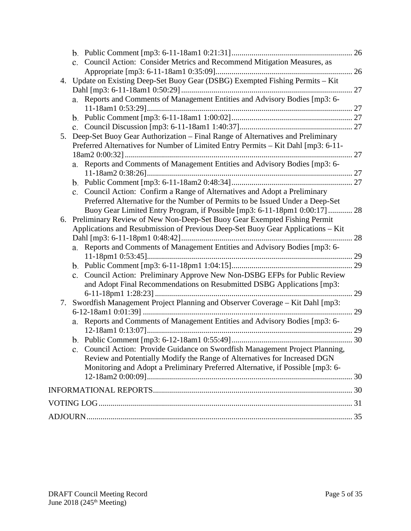|    | c. Council Action: Consider Metrics and Recommend Mitigation Measures, as         |    |
|----|-----------------------------------------------------------------------------------|----|
|    |                                                                                   |    |
|    | 4. Update on Existing Deep-Set Buoy Gear (DSBG) Exempted Fishing Permits - Kit    |    |
|    |                                                                                   |    |
|    | a. Reports and Comments of Management Entities and Advisory Bodies [mp3: 6-       |    |
|    |                                                                                   |    |
|    |                                                                                   |    |
|    |                                                                                   |    |
| 5. | Deep-Set Buoy Gear Authorization - Final Range of Alternatives and Preliminary    |    |
|    | Preferred Alternatives for Number of Limited Entry Permits - Kit Dahl [mp3: 6-11- |    |
|    |                                                                                   |    |
|    | a. Reports and Comments of Management Entities and Advisory Bodies [mp3: 6-       |    |
|    |                                                                                   |    |
|    |                                                                                   |    |
|    | c. Council Action: Confirm a Range of Alternatives and Adopt a Preliminary        |    |
|    | Preferred Alternative for the Number of Permits to be Issued Under a Deep-Set     |    |
|    | Buoy Gear Limited Entry Program, if Possible [mp3: 6-11-18pm1 0:00:17] 28         |    |
| 6. | Preliminary Review of New Non-Deep-Set Buoy Gear Exempted Fishing Permit          |    |
|    | Applications and Resubmission of Previous Deep-Set Buoy Gear Applications – Kit   |    |
|    |                                                                                   | 28 |
|    | a. Reports and Comments of Management Entities and Advisory Bodies [mp3: 6-       |    |
|    |                                                                                   |    |
|    |                                                                                   |    |
|    | Council Action: Preliminary Approve New Non-DSBG EFPs for Public Review<br>c.     |    |
|    | and Adopt Final Recommendations on Resubmitted DSBG Applications [mp3:            |    |
|    |                                                                                   | 29 |
| 7. | Swordfish Management Project Planning and Observer Coverage - Kit Dahl [mp3:      |    |
|    |                                                                                   | 29 |
|    | a. Reports and Comments of Management Entities and Advisory Bodies [mp3: 6-       |    |
|    |                                                                                   |    |
|    |                                                                                   |    |
|    | Council Action: Provide Guidance on Swordfish Management Project Planning,        |    |
|    | Review and Potentially Modify the Range of Alternatives for Increased DGN         |    |
|    | Monitoring and Adopt a Preliminary Preferred Alternative, if Possible [mp3: 6-    |    |
|    |                                                                                   |    |
|    |                                                                                   |    |
|    |                                                                                   |    |
|    |                                                                                   |    |
|    |                                                                                   |    |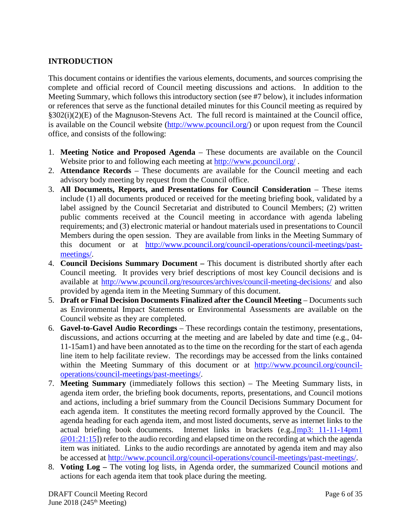## <span id="page-5-0"></span>**INTRODUCTION**

This document contains or identifies the various elements, documents, and sources comprising the complete and official record of Council meeting discussions and actions. In addition to the Meeting Summary, which follows this introductory section (see #7 below), it includes information or references that serve as the functional detailed minutes for this Council meeting as required by §302(i)(2)(E) of the Magnuson-Stevens Act. The full record is maintained at the Council office, is available on the Council website [\(http://www.pcouncil.org/\)](http://www.pcouncil.org/) or upon request from the Council office, and consists of the following:

- 1. **Meeting Notice and Proposed Agenda** These documents are available on the Council Website prior to and following each meeting at<http://www.pcouncil.org/>.
- 2. **Attendance Records** These documents are available for the Council meeting and each advisory body meeting by request from the Council office.
- 3. **All Documents, Reports, and Presentations for Council Consideration** These items include (1) all documents produced or received for the meeting briefing book, validated by a label assigned by the Council Secretariat and distributed to Council Members; (2) written public comments received at the Council meeting in accordance with agenda labeling requirements; and (3) electronic material or handout materials used in presentations to Council Members during the open session. They are available from links in the Meeting Summary of this document or at [http://www.pcouncil.org/council-operations/council-meetings/past](http://www.pcouncil.org/council-operations/council-meetings/past-meetings/)[meetings/.](http://www.pcouncil.org/council-operations/council-meetings/past-meetings/)
- 4. **Council Decisions Summary Document –** This document is distributed shortly after each Council meeting. It provides very brief descriptions of most key Council decisions and is available at<http://www.pcouncil.org/resources/archives/council-meeting-decisions/> and also provided by agenda item in the Meeting Summary of this document.
- 5. **Draft or Final Decision Documents Finalized after the Council Meeting** Documents such as Environmental Impact Statements or Environmental Assessments are available on the Council website as they are completed.
- 6. **Gavel-to-Gavel Audio Recordings** These recordings contain the testimony, presentations, discussions, and actions occurring at the meeting and are labeled by date and time (e.g., 04- 11-15am1) and have been annotated as to the time on the recording for the start of each agenda line item to help facilitate review. The recordings may be accessed from the links contained within the Meeting Summary of this document or at [http://www.pcouncil.org/council](http://www.pcouncil.org/council-operations/council-meetings/past-meetings/)[operations/council-meetings/past-meetings/.](http://www.pcouncil.org/council-operations/council-meetings/past-meetings/)
- 7. **Meeting Summary** (immediately follows this section) The Meeting Summary lists, in agenda item order, the briefing book documents, reports, presentations, and Council motions and actions, including a brief summary from the Council Decisions Summary Document for each agenda item. It constitutes the meeting record formally approved by the Council. The agenda heading for each agenda item, and most listed documents, serve as internet links to the actual briefing book documents. Internet links in brackets (e.g.,[\[mp3: 11-11-14pm1](ftp://ftp.pcouncil.org/pub/R1411_November_2014_Recordings/11-14-14pm1Copy.mp3) @01:21:15]) refer to the audio recording and elapsed time on the recording at which the agenda item was initiated. Links to the audio recordings are annotated by agenda item and may also be accessed at [http://www.pcouncil.org/council-operations/council-meetings/past-meetings/.](http://www.pcouncil.org/council-operations/council-meetings/past-meetings/)
- 8. **Voting Log –** The voting log lists, in Agenda order, the summarized Council motions and actions for each agenda item that took place during the meeting.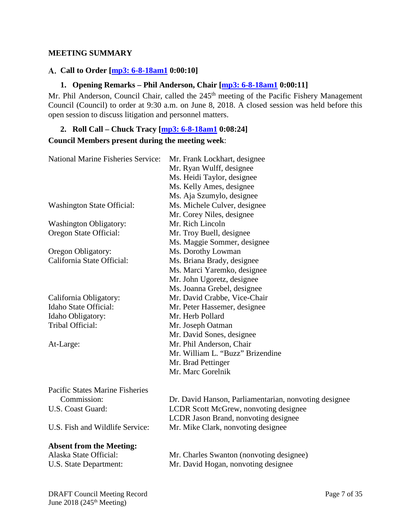### <span id="page-6-0"></span>**MEETING SUMMARY**

### <span id="page-6-1"></span>**Call to Order [\[mp3: 6-8-18am1](ftp://ftp.pcouncil.org/pub/R1806_June_2018_Recordings/6-8-18am1Copy.mp3) 0:00:10]**

### **1. Opening Remarks – Phil Anderson, Chair [\[mp3: 6-8-18am1](ftp://ftp.pcouncil.org/pub/R1806_June_2018_Recordings/6-8-18am1Copy.mp3) 0:00:11]**

<span id="page-6-2"></span>Mr. Phil Anderson, Council Chair, called the 245<sup>th</sup> meeting of the Pacific Fishery Management Council (Council) to order at 9:30 a.m. on June 8, 2018. A closed session was held before this open session to discuss litigation and personnel matters.

## <span id="page-6-3"></span>**2. Roll Call – Chuck Tracy [\[mp3: 6-8-18am1](ftp://ftp.pcouncil.org/pub/R1806_June_2018_Recordings/6-8-18am1Copy.mp3) 0:08:24] Council Members present during the meeting week**:

| <b>National Marine Fisheries Service:</b> | Mr. Frank Lockhart, designee<br>Mr. Ryan Wulff, designee  |  |  |  |  |
|-------------------------------------------|-----------------------------------------------------------|--|--|--|--|
|                                           | Ms. Heidi Taylor, designee                                |  |  |  |  |
|                                           | Ms. Kelly Ames, designee                                  |  |  |  |  |
|                                           | Ms. Aja Szumylo, designee                                 |  |  |  |  |
| <b>Washington State Official:</b>         | Ms. Michele Culver, designee                              |  |  |  |  |
|                                           | Mr. Corey Niles, designee                                 |  |  |  |  |
| <b>Washington Obligatory:</b>             | Mr. Rich Lincoln                                          |  |  |  |  |
| Oregon State Official:                    | Mr. Troy Buell, designee                                  |  |  |  |  |
|                                           | Ms. Maggie Sommer, designee                               |  |  |  |  |
| Oregon Obligatory:                        | Ms. Dorothy Lowman                                        |  |  |  |  |
| California State Official:                | Ms. Briana Brady, designee                                |  |  |  |  |
|                                           | Ms. Marci Yaremko, designee                               |  |  |  |  |
|                                           | Mr. John Ugoretz, designee                                |  |  |  |  |
|                                           | Ms. Joanna Grebel, designee                               |  |  |  |  |
| California Obligatory:                    | Mr. David Crabbe, Vice-Chair                              |  |  |  |  |
| Idaho State Official:                     | Mr. Peter Hassemer, designee                              |  |  |  |  |
| Idaho Obligatory:                         | Mr. Herb Pollard                                          |  |  |  |  |
| Tribal Official:                          | Mr. Joseph Oatman                                         |  |  |  |  |
|                                           | Mr. David Sones, designee                                 |  |  |  |  |
| At-Large:                                 | Mr. Phil Anderson, Chair                                  |  |  |  |  |
|                                           | Mr. William L. "Buzz" Brizendine                          |  |  |  |  |
|                                           | Mr. Brad Pettinger                                        |  |  |  |  |
|                                           | Mr. Marc Gorelnik                                         |  |  |  |  |
| <b>Pacific States Marine Fisheries</b>    |                                                           |  |  |  |  |
| Commission:                               | Dr. David Hanson, Parliamentarian, nonvoting designee     |  |  |  |  |
| $\mathbf{H} \cap \mathbf{C}$              | $I$ CDD $\beta$ and $M$ C and $\beta$ and $\beta$ and $I$ |  |  |  |  |

#### **Absent from the Meeting:**

U.S. Coast Guard: LCDR Scott McGrew, nonvoting designee LCDR Jason Brand, nonvoting designee U.S. Fish and Wildlife Service: Mr. Mike Clark, nonvoting designee

Alaska State Official: Mr. Charles Swanton (nonvoting designee) U.S. State Department: Mr. David Hogan, nonvoting designee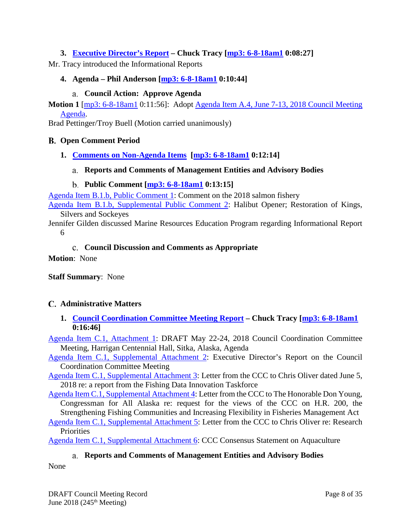## <span id="page-7-0"></span>**3. [Executive Director's Report](https://www.pcouncil.org/wp-content/uploads/2018/05/A3__SitSum_EDsRpt_June2018BB.pdf) – Chuck Tracy [\[mp3: 6-8-18am1](ftp://ftp.pcouncil.org/pub/R1806_June_2018_Recordings/6-8-18am1Copy.mp3) 0:08:27]**

<span id="page-7-1"></span>Mr. Tracy introduced the Informational Reports

### **4. Agenda – Phil Anderson [\[mp3: 6-8-18am1](ftp://ftp.pcouncil.org/pub/R1806_June_2018_Recordings/6-8-18am1Copy.mp3) 0:10:44]**

### **Council Action: Approve Agenda**

<span id="page-7-2"></span>**Motion 1** [\[mp3: 6-8-18am1](ftp://ftp.pcouncil.org/pub/R1806_June_2018_Recordings/6-8-18am1Copy.mp3) 0:11:56]: Adopt [Agenda Item A.4, June 7-13, 2018](https://www.pcouncil.org/wp-content/uploads/2018/05/A4__June2018_DetailedAgenda_JuneBB2018.pdf) Council Meeting [Agenda.](https://www.pcouncil.org/wp-content/uploads/2018/05/A4__June2018_DetailedAgenda_JuneBB2018.pdf)

<span id="page-7-3"></span>Brad Pettinger/Troy Buell (Motion carried unanimously)

### **Open Comment Period**

<span id="page-7-5"></span><span id="page-7-4"></span>**1. [Comments on Non-Agenda Items](https://www.pcouncil.org/wp-content/uploads/2018/05/B1__SitSum_June2018BB.pdf) [\[mp3: 6-8-18am1](ftp://ftp.pcouncil.org/pub/R1806_June_2018_Recordings/6-8-18am1Copy.mp3) 0:12:14]**

### **Reports and Comments of Management Entities and Advisory Bodies**

### **Public Comment [\[mp3: 6-8-18am1](ftp://ftp.pcouncil.org/pub/R1806_June_2018_Recordings/6-8-18am1Copy.mp3) 0:13:15]**

<span id="page-7-6"></span>[Agenda Item B.1.b, Public Comment 1:](https://www.pcouncil.org/wp-content/uploads/2018/05/B1b_PC1-_JUNBB2018.pdf) Comment on the 2018 salmon fishery

[Agenda Item B.1.b, Supplemental Public Comment 2:](https://www.pcouncil.org/wp-content/uploads/2018/06/B1b_Supp_PC2-_JUNBB2018.pdf) Halibut Opener; Restoration of Kings, Silvers and Sockeyes

Jennifer Gilden discussed Marine Resources Education Program regarding Informational Report 6

### **Council Discussion and Comments as Appropriate**

<span id="page-7-7"></span>**Motion**: None

**Staff Summary**: None

### <span id="page-7-8"></span>**Administrative Matters**

<span id="page-7-9"></span>**1. [Council Coordination Committee Meeting Report](https://www.pcouncil.org/wp-content/uploads/2018/05/C1__SitSum_CCC-Update_JUNE2018BB.pdf) – Chuck Tracy [\[mp3: 6-8-18am1](ftp://ftp.pcouncil.org/pub/R1806_June_2018_Recordings/6-8-18am1Copy.mp3) 0:16:46]**

[Agenda Item C.1, Attachment 1:](https://www.pcouncil.org/wp-content/uploads/2018/05/C1_Att1_May2018CCCAgenda_JUNE2018BB.pdf) DRAFT May 22-24, 2018 Council Coordination Committee Meeting, Harrigan Centennial Hall, Sitka, Alaska, Agenda

[Agenda Item C.1, Supplemental Attachment 2:](https://www.pcouncil.org/wp-content/uploads/2018/06/C1_SupAtt2_CCC-EDreport_JUN2018BB.pdf) Executive Director's Report on the Council Coordination Committee Meeting

[Agenda Item C.1, Supplemental Attachment 3:](https://www.pcouncil.org/wp-content/uploads/2018/06/C1_SupAtt3_CCC_DataLetter_JUNE2018BB.pdf) Letter from the CCC to Chris Oliver dated June 5, 2018 re: a report from the Fishing Data Innovation Taskforce

[Agenda Item C.1, Supplemental Attachment 4:](https://www.pcouncil.org/wp-content/uploads/2018/06/C1_SupAtt4_CCC_YoungMSALetter_JUNE2018BB.pdf) Letter from the CCC to The Honorable Don Young, Congressman for All Alaska re: request for the views of the CCC on H.R. 200, the Strengthening Fishing Communities and Increasing Flexibility in Fisheries Management Act

[Agenda Item C.1, Supplemental Attachment 5:](https://www.pcouncil.org/wp-content/uploads/2018/06/C1_SupAtt5_CCC_ResearchLetter_JUNE2018BB.pdf) Letter from the CCC to Chris Oliver re: Research **Priorities** 

<span id="page-7-10"></span>[Agenda Item C.1, Supplemental Attachment 6:](https://www.pcouncil.org/wp-content/uploads/2018/06/C1_SupAtt6_CCC-AquacultureStmt_JUN2018BB.pdf) CCC Consensus Statement on Aquaculture

**Reports and Comments of Management Entities and Advisory Bodies**

None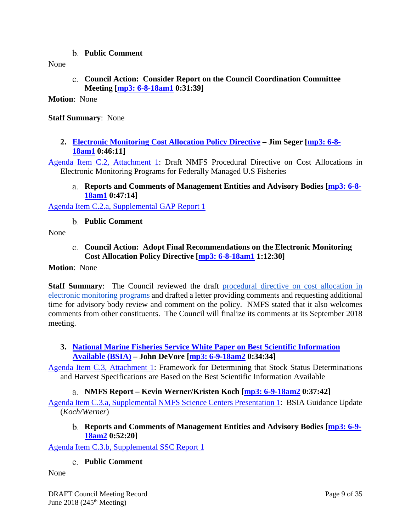**Public Comment**

<span id="page-8-1"></span><span id="page-8-0"></span>None

**Council Action: Consider Report on the Council Coordination Committee Meeting [\[mp3: 6-8-18am1](ftp://ftp.pcouncil.org/pub/R1806_June_2018_Recordings/6-8-18am1Copy.mp3) 0:31:39]**

**Motion**: None

### **Staff Summary**: None

<span id="page-8-2"></span>**2. [Electronic Monitoring Cost Allocation Policy Directive](https://www.pcouncil.org/wp-content/uploads/2018/05/C2__SitSumEM_Cost_Allocation_JUNE2018BB.pdf) – Jim Seger [\[mp3: 6-8-](ftp://ftp.pcouncil.org/pub/R1806_June_2018_Recordings/6-8-18am1Copy.mp3) [18am1](ftp://ftp.pcouncil.org/pub/R1806_June_2018_Recordings/6-8-18am1Copy.mp3) 0:46:11]**

<span id="page-8-3"></span>[Agenda Item C.2, Attachment 1:](https://www.pcouncil.org/wp-content/uploads/2018/05/C2_Att1_Draft-EM-Cost-Alloc-Proc-Dir_JUNE2018BB.pdf) Draft NMFS Procedural Directive on Cost Allocations in Electronic Monitoring Programs for Federally Managed U.S Fisheries

**Reports and Comments of Management Entities and Advisory Bodies [\[mp3: 6-8-](ftp://ftp.pcouncil.org/pub/R1806_June_2018_Recordings/6-8-18am1Copy.mp3) [18am1](ftp://ftp.pcouncil.org/pub/R1806_June_2018_Recordings/6-8-18am1Copy.mp3) 0:47:14]**

<span id="page-8-4"></span>[Agenda Item C.2.a, Supplemental GAP Report 1](https://www.pcouncil.org/wp-content/uploads/2018/06/C2a_Supp_GAP_Rpt1_JUN2018BB.pdf)

**Public Comment**

<span id="page-8-5"></span>None

**Council Action: Adopt Final Recommendations on the Electronic Monitoring Cost Allocation Policy Directive [\[mp3: 6-8-18am1](ftp://ftp.pcouncil.org/pub/R1806_June_2018_Recordings/6-8-18am1Copy.mp3) 1:12:30]**

### **Motion**: None

**Staff Summary**: The Council reviewed the draft [procedural directive on cost allocation in](https://www.pcouncil.org/wp-content/uploads/2018/06/C2a_Supp_GAP_Rpt1_JUN2018BB.pdf)  [electronic monitoring programs](https://www.pcouncil.org/wp-content/uploads/2018/06/C2a_Supp_GAP_Rpt1_JUN2018BB.pdf) and drafted a letter providing comments and requesting additional time for advisory body review and comment on the policy. NMFS stated that it also welcomes comments from other constituents. The Council will finalize its comments at its September 2018 meeting.

<span id="page-8-6"></span>**3. [National Marine Fisheries Service White Paper on Best Scientific Information](https://www.pcouncil.org/wp-content/uploads/2018/05/C3__SitSum_BSIA_June2018BB.pdf)  [Available \(BSIA\)](https://www.pcouncil.org/wp-content/uploads/2018/05/C3__SitSum_BSIA_June2018BB.pdf) – John DeVore [\[mp3: 6-9-18am2](ftp://ftp.pcouncil.org/pub/R1806_June_2018_Recordings/6-9-18am2Copy.mp3) 0:34:34]**

[Agenda Item C.3, Attachment 1:](https://www.pcouncil.org/wp-content/uploads/2018/05/C3_Att1_BSIA_WhitePaper_June2018BB.pdf) Framework for Determining that Stock Status Determinations and Harvest Specifications are Based on the Best Scientific Information Available

**NMFS Report – Kevin Werner/Kristen Koch [\[mp3: 6-9-18am2](ftp://ftp.pcouncil.org/pub/R1806_June_2018_Recordings/6-9-18am2Copy.mp3) 0:37:42]**

<span id="page-8-8"></span><span id="page-8-7"></span>[Agenda Item C.3.a, Supplemental NMFS Science Centers Presentation 1:](https://www.pcouncil.org/wp-content/uploads/2018/06/C3a_Supp_NMFS_SciCntrs_Presentation1_Koch_Werner_BSIA_NMFS_JUNEBB2018.pdf) BSIA Guidance Update (*Koch/Werner*)

**Reports and Comments of Management Entities and Advisory Bodies [\[mp3: 6-9-](ftp://ftp.pcouncil.org/pub/R1806_June_2018_Recordings/6-9-18am2Copy.mp3) [18am2](ftp://ftp.pcouncil.org/pub/R1806_June_2018_Recordings/6-9-18am2Copy.mp3) 0:52:20]**

<span id="page-8-9"></span>[Agenda Item C.3.b, Supplemental SSC Report 1](https://www.pcouncil.org/wp-content/uploads/2018/06/C3b_Supp_SSC_Rpt1_BSIA_June2018BB.pdf)

### **Public Comment**

None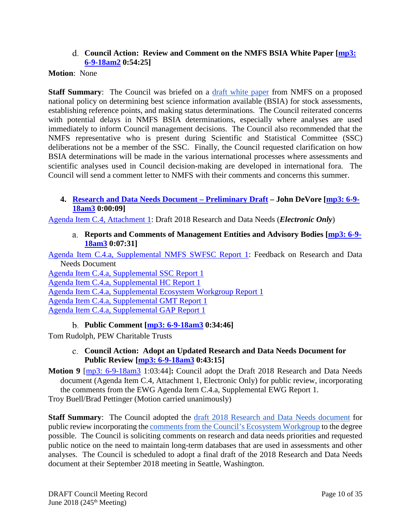### **Council Action: Review and Comment on the NMFS BSIA White Paper [\[mp3:](ftp://ftp.pcouncil.org/pub/R1806_June_2018_Recordings/6-9-18am2Copy.mp3)  [6-9-18am2](ftp://ftp.pcouncil.org/pub/R1806_June_2018_Recordings/6-9-18am2Copy.mp3) 0:54:25]**

### <span id="page-9-0"></span>**Motion**: None

**Staff Summary:** The Council was briefed on a [draft white paper](https://www.pcouncil.org/wp-content/uploads/2018/05/C3_Att1_BSIA_WhitePaper_June2018BB.pdf) from NMFS on a proposed national policy on determining best science information available (BSIA) for stock assessments, establishing reference points, and making status determinations. The Council reiterated concerns with potential delays in NMFS BSIA determinations, especially where analyses are used immediately to inform Council management decisions. The Council also recommended that the NMFS representative who is present during Scientific and Statistical Committee (SSC) deliberations not be a member of the SSC. Finally, the Council requested clarification on how BSIA determinations will be made in the various international processes where assessments and scientific analyses used in Council decision-making are developed in international fora. The Council will send a comment letter to NMFS with their comments and concerns this summer.

### <span id="page-9-1"></span>**4. [Research and Data Needs Document –](https://www.pcouncil.org/wp-content/uploads/2018/05/C4__SitSum_RD2018_June2018BB.pdf) Preliminary Draft – John DeVore [\[mp3: 6-9-](ftp://ftp.pcouncil.org/pub/R1806_June_2018_Recordings/6-9-18am3Copy.mp3) [18am3](ftp://ftp.pcouncil.org/pub/R1806_June_2018_Recordings/6-9-18am3Copy.mp3) 0:00:09]**

<span id="page-9-2"></span>[Agenda Item C.4, Attachment 1:](https://www.pcouncil.org/wp-content/uploads/2018/05/C4_Att1_RD_Needs_May2018_June2018BB_electronic_only.pdf) Draft 2018 Research and Data Needs (*Electronic Only*)

**Reports and Comments of Management Entities and Advisory Bodies [\[mp3: 6-9-](ftp://ftp.pcouncil.org/pub/R1806_June_2018_Recordings/6-9-18am3Copy.mp3) [18am3](ftp://ftp.pcouncil.org/pub/R1806_June_2018_Recordings/6-9-18am3Copy.mp3) 0:07:31]**

[Agenda Item C.4.a, Supplemental NMFS SWFSC Report 1:](https://www.pcouncil.org/wp-content/uploads/2018/06/C4a_Supp_NMFS_SWFSC_Rpt1_JUNE2018BB.pdf) Feedback on Research and Data Needs Document

[Agenda Item C.4.a, Supplemental SSC Report 1](https://www.pcouncil.org/wp-content/uploads/2018/06/C4a_Supp_SSC_Rpt1_ResearchData-Needs_June2018BB.pdf) [Agenda Item C.4.a, Supplemental HC Report 1](https://www.pcouncil.org/wp-content/uploads/2018/06/C4a_Supp_HC_Rpt1_JUNE2018BB.pdf) [Agenda Item C.4.a, Supplemental Ecosystem Workgroup Report 1](https://www.pcouncil.org/wp-content/uploads/2018/06/C4a_Supp_EWG_Rpt1_Jun2018BB.pdf) [Agenda Item C.4.a, Supplemental GMT Report 1](https://www.pcouncil.org/wp-content/uploads/2018/06/C4a_Supp_GMT_Rpt1_Jun2018BB.pdf) [Agenda Item C.4.a, Supplemental GAP Report 1](https://www.pcouncil.org/wp-content/uploads/2018/06/C4a_Supp_GAP_Rpt1_Jun2018BB.pdf)

**Public Comment [\[mp3: 6-9-18am3](ftp://ftp.pcouncil.org/pub/R1806_June_2018_Recordings/6-9-18am3Copy.mp3) 0:34:46]**

<span id="page-9-4"></span><span id="page-9-3"></span>Tom Rudolph, PEW Charitable Trusts

## **Council Action: Adopt an Updated Research and Data Needs Document for Public Review [\[mp3: 6-9-18am3](ftp://ftp.pcouncil.org/pub/R1806_June_2018_Recordings/6-9-18am3Copy.mp3) 0:43:15]**

**Motion 9** [\[mp3: 6-9-18am3](ftp://ftp.pcouncil.org/pub/R1806_June_2018_Recordings/6-9-18am3Copy.mp3) 1:03:44]**:** Council adopt the Draft 2018 Research and Data Needs document (Agenda Item C.4, Attachment 1, Electronic Only) for public review, incorporating the comments from the EWG Agenda Item C.4.a, Supplemental EWG Report 1. Troy Buell/Brad Pettinger (Motion carried unanimously)

**Staff Summary**: The Council adopted the [draft 2018 Research and Data Needs document](https://www.pcouncil.org/wp-content/uploads/2018/05/C4_Att1_RD_Needs_May2018_June2018BB_electronic_only.pdf) for public review incorporating th[e comments from the Council's Ecosystem Workgroup](https://www.pcouncil.org/wp-content/uploads/2018/06/C4a_Supp_EWG_Rpt1_Jun2018BB.pdf) to the degree possible. The Council is soliciting comments on research and data needs priorities and requested public notice on the need to maintain long-term databases that are used in assessments and other analyses. The Council is scheduled to adopt a final draft of the 2018 Research and Data Needs document at their September 2018 meeting in Seattle, Washington.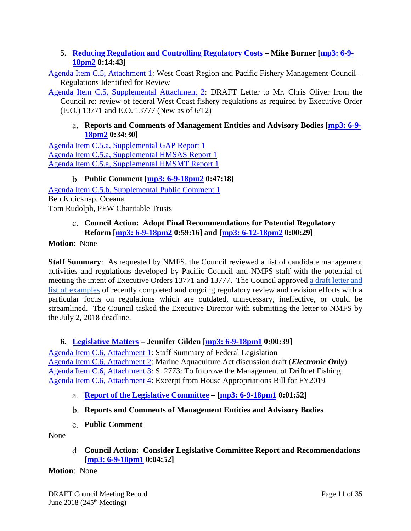## <span id="page-10-0"></span>**5. [Reducing Regulation and Controlling Regulatory Costs](https://www.pcouncil.org/wp-content/uploads/2018/05/C5__SitSum_Reg_Reform_JUNE2018BB.pdf) – Mike Burner [\[mp3: 6-9-](ftp://ftp.pcouncil.org/pub/R1806_June_2018_Recordings/6-9-18pm2Copy.mp3) [18pm2](ftp://ftp.pcouncil.org/pub/R1806_June_2018_Recordings/6-9-18pm2Copy.mp3) 0:14:43]**

[Agenda Item C.5, Attachment 1:](https://www.pcouncil.org/wp-content/uploads/2018/05/C5_Att1_RegReformListingrev1_Jun2018BB.pdf) West Coast Region and Pacific Fishery Management Council – Regulations Identified for Review

[Agenda Item C.5, Supplemental Attachment 2:](https://www.pcouncil.org/wp-content/uploads/2018/06/C5_Supp_Att2_Reg_Reform_JUNE2018BB.pdf) DRAFT Letter to Mr. Chris Oliver from the Council re: review of federal West Coast fishery regulations as required by Executive Order (E.O.) 13771 and E.O. 13777 (New as of 6/12)

## <span id="page-10-1"></span>**Reports and Comments of Management Entities and Advisory Bodies [\[mp3: 6-9-](ftp://ftp.pcouncil.org/pub/R1806_June_2018_Recordings/6-9-18pm2Copy.mp3) [18pm2](ftp://ftp.pcouncil.org/pub/R1806_June_2018_Recordings/6-9-18pm2Copy.mp3) 0:34:30]**

[Agenda Item C.5.a, Supplemental GAP Report 1](https://www.pcouncil.org/wp-content/uploads/2018/06/C5a_Supp_GAP_Rpt1_Jun2018BB.pdf) [Agenda Item C.5.a, Supplemental HMSAS Report 1](https://www.pcouncil.org/wp-content/uploads/2018/06/C5a_Supp_HMSAS_Rpt1_JUN2018BB.pdf) [Agenda Item C.5.a, Supplemental HMSMT Report 1](https://www.pcouncil.org/wp-content/uploads/2018/06/C5a_Supp_HMSMT_Rpt1_JUN2018BB.pdf)

## **Public Comment [\[mp3: 6-9-18pm2](ftp://ftp.pcouncil.org/pub/R1806_June_2018_Recordings/6-9-18pm2Copy.mp3) 0:47:18]**

<span id="page-10-2"></span>[Agenda Item C.5.b, Supplemental Public Comment 1](https://www.pcouncil.org/wp-content/uploads/2018/06/C5b_Supp_Pub_Comm1_REgReform_JUNE2018.pdf) Ben Enticknap, Oceana Tom Rudolph, PEW Charitable Trusts

## <span id="page-10-3"></span>**Council Action: Adopt Final Recommendations for Potential Regulatory Reform [\[mp3: 6-9-18pm2](ftp://ftp.pcouncil.org/pub/R1806_June_2018_Recordings/6-9-18pm2Copy.mp3) 0:59:16] and [\[mp3: 6-12-18pm2](ftp://ftp.pcouncil.org/pub/R1806_June_2018_Recordings/6-12-18pm2Copy.mp3) 0:00:29]**

### **Motion**: None

**Staff Summary:** As requested by NMFS, the Council reviewed a list of candidate management activities and regulations developed by Pacific Council and NMFS staff with the potential of meeting the intent of Executive Orders 13771 and 13777. The Council approved [a draft letter and](https://www.pcouncil.org/wp-content/uploads/2018/06/C5_Supp_Att2_Reg_Reform_JUNE2018BB.pdf)  [list of examples](https://www.pcouncil.org/wp-content/uploads/2018/06/C5_Supp_Att2_Reg_Reform_JUNE2018BB.pdf) of recently completed and ongoing regulatory review and revision efforts with a particular focus on regulations which are outdated, unnecessary, ineffective, or could be streamlined. The Council tasked the Executive Director with submitting the letter to NMFS by the July 2, 2018 deadline.

## <span id="page-10-4"></span>**6. [Legislative Matters](https://www.pcouncil.org/wp-content/uploads/2018/05/C6__SitSum_Legislative_Matters_June2018BB.pdf) – Jennifer Gilden [\[mp3: 6-9-18pm1](ftp://ftp.pcouncil.org/pub/R1806_June_2018_Recordings/6-9-18pm1Copy.mp3) 0:00:39]**

[Agenda Item C.6, Attachment 1:](https://www.pcouncil.org/wp-content/uploads/2018/05/C6_Att1_Staff_Summary_Fed_Legislation_June2018BB.pdf) Staff Summary of Federal Legislation [Agenda Item C.6, Attachment 2:](https://www.pcouncil.org/wp-content/uploads/2018/05/C6_Att2_AQUA_Act_E-Only_Labeled_Jun2018BB.pdf) Marine Aquaculture Act discussion draft (*Electronic Only*) [Agenda Item C.6, Attachment 3:](https://www.pcouncil.org/wp-content/uploads/2018/05/C6_Att3_Feinstein_Driftnet.Bill_rev_Jun2018BB.pdf) S. 2773: To Improve the Management of Driftnet Fishing [Agenda Item C.6, Attachment 4:](https://www.pcouncil.org/wp-content/uploads/2018/05/C6_Att4_Excerpt_House_appropriations_Jun2018BB.pdf) Excerpt from House Appropriations Bill for FY2019

- <span id="page-10-5"></span>**[Report of the Legislative Committee](https://www.pcouncil.org/wp-content/uploads/2018/06/C6a_Supp_LC_Rpt1_JUN2018BB.pdf) – [\[mp3: 6-9-18pm1](ftp://ftp.pcouncil.org/pub/R1806_June_2018_Recordings/6-9-18pm1Copy.mp3) 0:01:52]**
- <span id="page-10-6"></span>**Reports and Comments of Management Entities and Advisory Bodies**
- **Public Comment**

<span id="page-10-8"></span><span id="page-10-7"></span>None

**Council Action: Consider Legislative Committee Report and Recommendations [\[mp3: 6-9-18pm1](ftp://ftp.pcouncil.org/pub/R1806_June_2018_Recordings/6-9-18pm1Copy.mp3) 0:04:52]**

## **Motion**: None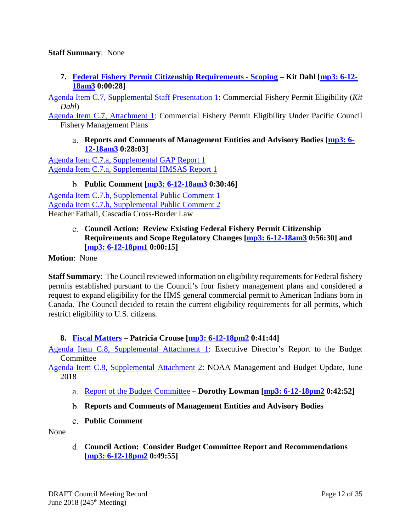### **Staff Summary**: None

<span id="page-11-0"></span>**7. [Federal Fishery Permit Citizenship Requirements -](https://www.pcouncil.org/wp-content/uploads/2018/05/C7__SitSum_permit_citizenship_JUN2018BB.pdf) Scoping – Kit Dahl [\[mp3: 6-12-](ftp://ftp.pcouncil.org/pub/R1806_June_2018_Recordings/6-12-18am3Copy.mp3) [18am3](ftp://ftp.pcouncil.org/pub/R1806_June_2018_Recordings/6-12-18am3Copy.mp3) 0:00:28]**

[Agenda Item C.7, Supplemental Staff Presentation 1:](https://www.pcouncil.org/wp-content/uploads/2018/06/C7_Supp_StaffPresentation1_KRD_Permit_eligibility_JUN2018BB.pdf) Commercial Fishery Permit Eligibility (*Kit Dahl*)

<span id="page-11-1"></span>[Agenda Item C.7, Attachment 1:](https://www.pcouncil.org/wp-content/uploads/2018/05/C7_Att1_ComlPermitEligibility_June2018BB.pdf) Commercial Fishery Permit Eligibility Under Pacific Council Fishery Management Plans

**Reports and Comments of Management Entities and Advisory Bodies [\[mp3: 6-](ftp://ftp.pcouncil.org/pub/R1806_June_2018_Recordings/6-12-18am3Copy.mp3) [12-18am3](ftp://ftp.pcouncil.org/pub/R1806_June_2018_Recordings/6-12-18am3Copy.mp3) 0:28:03]**

[Agenda Item C.7.a, Supplemental GAP Report 1](https://www.pcouncil.org/wp-content/uploads/2018/06/C7a_Supp_GAP_Rpt1_JUN2018BB.pdf) [Agenda Item C.7.a, Supplemental HMSAS Report 1](https://www.pcouncil.org/wp-content/uploads/2018/06/C7a_Supp_HMSAS_Rpt1_permit_eligibility_JUN2018BB.pdf)

**Public Comment [\[mp3: 6-12-18am3](ftp://ftp.pcouncil.org/pub/R1806_June_2018_Recordings/6-12-18am3Copy.mp3) 0:30:46]**

<span id="page-11-2"></span>[Agenda Item C.7.b, Supplemental Public Comment 1](https://www.pcouncil.org/wp-content/uploads/2018/06/C7b_Supp_Pub_Comm1_Permit_Citizenship_Req_JUNE2018.pdf) [Agenda Item C.7.b, Supplemental Public Comment 2](https://www.pcouncil.org/wp-content/uploads/2018/06/C7b_Supp_Pub_Comm2_Cascadia_JUN2018BB.pdf) Heather Fathali, Cascadia Cross-Border Law

### <span id="page-11-3"></span>**Council Action: Review Existing Federal Fishery Permit Citizenship Requirements and Scope Regulatory Changes [\[mp3: 6-12-18am3](ftp://ftp.pcouncil.org/pub/R1806_June_2018_Recordings/6-12-18am3Copy.mp3) 0:56:30] and [\[mp3: 6-12-18pm1](ftp://ftp.pcouncil.org/pub/R1806_June_2018_Recordings/6-12-18pm1Copy.mp3) 0:00:15]**

**Motion**: None

**Staff Summary**: The Council reviewed information on eligibility requirements for Federal fishery permits established pursuant to the Council's four fishery management plans and considered a request to expand eligibility for the HMS general commercial permit to American Indians born in Canada. The Council decided to retain the current eligibility requirements for all permits, which restrict eligibility to U.S. citizens.

## <span id="page-11-4"></span>**8. [Fiscal Matters](https://www.pcouncil.org/wp-content/uploads/2018/05/C8__SitSum_Fiscal_June2018BB.pdf) – Patricia Crouse [\[mp3: 6-12-18pm2](ftp://ftp.pcouncil.org/pub/R1806_June_2018_Recordings/6-12-18pm2Copy.mp3) 0:41:44]**

[Agenda Item C.8, Supplemental Attachment 1:](https://www.pcouncil.org/wp-content/uploads/2018/06/C8_Supp_Att1_ExecDirector_Rpt_JUN2018BB.pdf) Executive Director's Report to the Budget **Committee** 

[Agenda Item C.8, Supplemental Attachment 2:](https://www.pcouncil.org/wp-content/uploads/2018/06/C8_Supp_Att2_NOAA-Budget-Update_JUN2018BB.pdf) NOAA Management and Budget Update, June 2018

- <span id="page-11-5"></span>[Report of the Budget Committee](https://www.pcouncil.org/wp-content/uploads/2018/06/C8a_Supp_BudCom_Rpt1_JUN2018BB.pdf) **– Dorothy Lowman [\[mp3: 6-12-18pm2](ftp://ftp.pcouncil.org/pub/R1806_June_2018_Recordings/6-12-18pm2Copy.mp3) 0:42:52]**
- <span id="page-11-6"></span>**Reports and Comments of Management Entities and Advisory Bodies**
- **Public Comment**

<span id="page-11-8"></span><span id="page-11-7"></span>None

**Council Action: Consider Budget Committee Report and Recommendations [\[mp3: 6-12-18pm2](ftp://ftp.pcouncil.org/pub/R1806_June_2018_Recordings/6-12-18pm2Copy.mp3) 0:49:55]**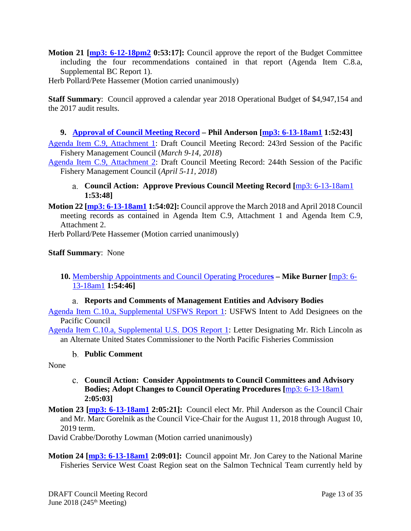- **Motion 21 [\[mp3: 6-12-18pm2](ftp://ftp.pcouncil.org/pub/R1806_June_2018_Recordings/6-12-18pm2Copy.mp3) 0:53:17]:** Council approve the report of the Budget Committee including the four recommendations contained in that report (Agenda Item C.8.a, Supplemental BC Report 1).
- Herb Pollard/Pete Hassemer (Motion carried unanimously)

**Staff Summary**: Council approved a calendar year 2018 Operational Budget of \$4,947,154 and the 2017 audit results.

## <span id="page-12-0"></span>**9. [Approval of Council Meeting Record](https://www.pcouncil.org/wp-content/uploads/2018/05/C9__SitSum_MtgRecMar18_and_Apr18_Jun208BB.pdf) – Phil Anderson [\[mp3: 6-13-18am1](ftp://ftp.pcouncil.org/pub/R1806_June_2018_Recordings/6-13-18am1Copy.mp3) 1:52:43]**

[Agenda Item C.9, Attachment 1:](https://www.pcouncil.org/wp-content/uploads/2018/05/C9_Att1_DRAFT_Mar18MtgRecord_June2018BB.pdf) Draft Council Meeting Record: 243rd Session of the Pacific Fishery Management Council (*March 9-14, 2018*)

<span id="page-12-1"></span>[Agenda Item C.9, Attachment 2:](https://www.pcouncil.org/wp-content/uploads/2018/05/C9_Att2_DRAFT_Apr18MtgRecord_June2018BB.pdf) Draft Council Meeting Record: 244th Session of the Pacific Fishery Management Council (*April 5-11, 2018*)

### **Council Action: Approve Previous Council Meeting Record [**[mp3: 6-13-18am1](ftp://ftp.pcouncil.org/pub/R1806_June_2018_Recordings/6-13-18am1Copy.mp3) **1:53:48]**

**Motion 22 [\[mp3: 6-13-18am1](ftp://ftp.pcouncil.org/pub/R1806_June_2018_Recordings/6-13-18am1Copy.mp3) 1:54:02]:** Council approve the March 2018 and April 2018 Council meeting records as contained in Agenda Item C.9, Attachment 1 and Agenda Item C.9, Attachment 2.

Herb Pollard/Pete Hassemer (Motion carried unanimously)

### **Staff Summary**: None

<span id="page-12-2"></span>**10.** [Membership Appointments and Council Operating Procedure](https://www.pcouncil.org/wp-content/uploads/2018/05/C10__SitSum_ApptsCOPs_JUNE2018BB.pdf)**s – Mike Burner [**[mp3: 6-](ftp://ftp.pcouncil.org/pub/R1806_June_2018_Recordings/6-13-18am1Copy.mp3) [13-18am1](ftp://ftp.pcouncil.org/pub/R1806_June_2018_Recordings/6-13-18am1Copy.mp3) **1:54:46]**

## **Reports and Comments of Management Entities and Advisory Bodies**

<span id="page-12-3"></span>[Agenda Item C.10.a, Supplemental USFWS Report 1:](https://www.pcouncil.org/wp-content/uploads/2018/06/C10a_Supp_USFWS_Rpt1_JUNE2018BB.pdf) USFWS Intent to Add Designees on the Pacific Council

<span id="page-12-4"></span>[Agenda Item C.10.a, Supplemental U.S. DOS Report 1:](https://www.pcouncil.org/wp-content/uploads/2018/06/C10a_Supp_USDS_Rpt1_JUNE2018BB.pdf) Letter Designating Mr. Rich Lincoln as an Alternate United States Commissioner to the North Pacific Fisheries Commission

### **Public Comment**

<span id="page-12-5"></span>None

## **Council Action: Consider Appointments to Council Committees and Advisory Bodies; Adopt Changes to Council Operating Procedures [**[mp3: 6-13-18am1](ftp://ftp.pcouncil.org/pub/R1806_June_2018_Recordings/6-13-18am1Copy.mp3) **2:05:03]**

**Motion 23 [\[mp3: 6-13-18am1](ftp://ftp.pcouncil.org/pub/R1806_June_2018_Recordings/6-13-18am1Copy.mp3) 2:05:21]:** Council elect Mr. Phil Anderson as the Council Chair and Mr. Marc Gorelnik as the Council Vice-Chair for the August 11, 2018 through August 10, 2019 term.

David Crabbe/Dorothy Lowman (Motion carried unanimously)

**Motion 24 [\[mp3: 6-13-18am1](ftp://ftp.pcouncil.org/pub/R1806_June_2018_Recordings/6-13-18am1Copy.mp3) 2:09:01]:** Council appoint Mr. Jon Carey to the National Marine Fisheries Service West Coast Region seat on the Salmon Technical Team currently held by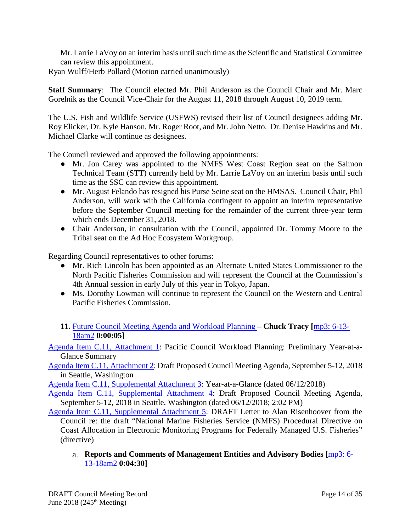Mr. Larrie LaVoy on an interim basis until such time as the Scientific and Statistical Committee can review this appointment.

Ryan Wulff/Herb Pollard (Motion carried unanimously)

**Staff Summary**: The Council elected Mr. Phil Anderson as the Council Chair and Mr. Marc Gorelnik as the Council Vice-Chair for the August 11, 2018 through August 10, 2019 term.

The U.S. Fish and Wildlife Service (USFWS) revised their list of Council designees adding Mr. Roy Elicker, Dr. Kyle Hanson, Mr. Roger Root, and Mr. John Netto. Dr. Denise Hawkins and Mr. Michael Clarke will continue as designees.

The Council reviewed and approved the following appointments:

- Mr. Jon Carey was appointed to the NMFS West Coast Region seat on the Salmon Technical Team (STT) currently held by Mr. Larrie LaVoy on an interim basis until such time as the SSC can review this appointment.
- Mr. August Felando has resigned his Purse Seine seat on the HMSAS. Council Chair, Phil Anderson, will work with the California contingent to appoint an interim representative before the September Council meeting for the remainder of the current three-year term which ends December 31, 2018.
- Chair Anderson, in consultation with the Council, appointed Dr. Tommy Moore to the Tribal seat on the Ad Hoc Ecosystem Workgroup.

Regarding Council representatives to other forums:

- Mr. Rich Lincoln has been appointed as an Alternate United States Commissioner to the North Pacific Fisheries Commission and will represent the Council at the Commission's 4th Annual session in early July of this year in Tokyo, Japan.
- Ms. Dorothy Lowman will continue to represent the Council on the Western and Central Pacific Fisheries Commission.
- <span id="page-13-0"></span>**11.** [Future Council Meeting Agenda and Workload Planning](https://www.pcouncil.org/wp-content/uploads/2018/05/C11__SitSum_CMAgendaPlanning_JUNE2018BB.pdf) **– Chuck Tracy [**[mp3: 6-13-](ftp://ftp.pcouncil.org/pub/R1806_June_2018_Recordings/6-13-18am2Copy.mp3) [18am2](ftp://ftp.pcouncil.org/pub/R1806_June_2018_Recordings/6-13-18am2Copy.mp3) **0:00:05]**

[Agenda Item C.11, Attachment 1:](https://www.pcouncil.org/wp-content/uploads/2018/05/C11_Att1_YAG_JUNE2018BB.pdf) Pacific Council Workload Planning: Preliminary Year-at-a-Glance Summary

[Agenda Item C.11, Attachment 2:](https://www.pcouncil.org/wp-content/uploads/2018/05/C11_Att2_Sept_QR_JUNE2018BB.pdf) Draft Proposed Council Meeting Agenda, September 5-12, 2018 in Seattle, Washington

[Agenda Item C.11, Supplemental Attachment 3:](https://www.pcouncil.org/wp-content/uploads/2018/06/C11_Supp_Att3_YAG_JUNE2018BB_final.pdf) Year-at-a-Glance (dated 06/12/2018)

[Agenda Item C.11, Supplemental Attachment 4:](https://www.pcouncil.org/wp-content/uploads/2018/06/C11_Supp_Att4_Sept_QR_JUNE2018BB_Final.pdf) Draft Proposed Council Meeting Agenda, September 5-12, 2018 in Seattle, Washington (dated 06/12/2018; 2:02 PM)

[Agenda Item C.11, Supplemental Attachment 5:](https://www.pcouncil.org/wp-content/uploads/2018/06/C11_Supp_Att5_JLS_EM_Ltr_JUNE2018BB.pdf) DRAFT Letter to Alan Risenhoover from the Council re: the draft "National Marine Fisheries Service (NMFS) Procedural Directive on Coast Allocation in Electronic Monitoring Programs for Federally Managed U.S. Fisheries" (directive)

<span id="page-13-1"></span>**Reports and Comments of Management Entities and Advisory Bodies [**[mp3: 6-](ftp://ftp.pcouncil.org/pub/R1806_June_2018_Recordings/6-13-18am2Copy.mp3) [13-18am2](ftp://ftp.pcouncil.org/pub/R1806_June_2018_Recordings/6-13-18am2Copy.mp3) **0:04:30]**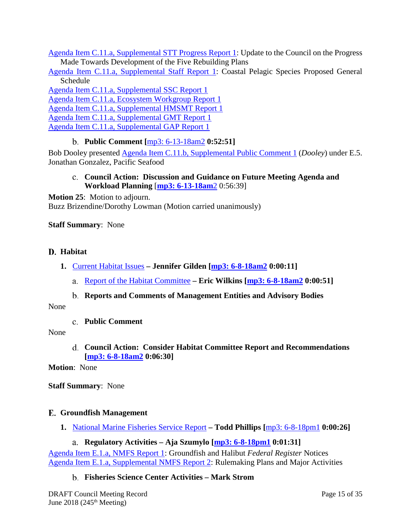[Agenda Item C.11.a, Supplemental STT Progress Report 1:](https://www.pcouncil.org/wp-content/uploads/2018/06/C11a_Supp_STT_Rpt1_RebuildingProgressRpt_JUNE2018BB.pdf) Update to the Council on the Progress Made Towards Development of the Five Rebuilding Plans

[Agenda Item C.11.a, Supplemental Staff](https://www.pcouncil.org/wp-content/uploads/2018/06/C11a_Supp_PFMC_Staff_Rpt1_JUN2018BB.pdf) Report 1: Coastal Pelagic Species Proposed General Schedule

[Agenda Item C.11.a, Supplemental SSC Report 1](https://www.pcouncil.org/wp-content/uploads/2018/06/C11a_Supp_SSC_Rpt1_Jun2018BB.pdf) [Agenda Item C.11.a, Ecosystem Workgroup Report 1](https://www.pcouncil.org/wp-content/uploads/2018/06/C11a_Supp_EWG_Rpt1_Jun2018BB.pdf) [Agenda Item C.11.a, Supplemental HMSMT Report 1](https://www.pcouncil.org/wp-content/uploads/2018/06/C11a_Supp_HMSMT_Rpt1_Future_Workload_Planning_JUN2018BB.pdf) [Agenda Item C.11.a, Supplemental GMT Report 1](https://www.pcouncil.org/wp-content/uploads/2018/06/C11a_Supp_GMT_Rpt1_Jun2018BB.pdf)

<span id="page-14-0"></span>[Agenda Item C.11.a, Supplemental GAP Report 1](https://www.pcouncil.org/wp-content/uploads/2018/06/C11a_Supp_GAP_Rpt1_Jun2018BB.pdf)

### **Public Comment [**[mp3: 6-13-18am2](ftp://ftp.pcouncil.org/pub/R1806_June_2018_Recordings/6-13-18am2Copy.mp3) **0:52:51]**

<span id="page-14-1"></span>Bob Dooley presented [Agenda Item C.11.b, Supplemental Public Comment 1](https://www.pcouncil.org/wp-content/uploads/2018/06/C11b_Supp_PubCom_1_cowcod_June2018BB.pdf) (*Dooley*) under E.5. Jonathan Gonzalez, Pacific Seafood

### **Council Action: Discussion and Guidance on Future Meeting Agenda and Workload Planning** [**[mp3: 6-13-18am](ftp://ftp.pcouncil.org/pub/R1806_June_2018_Recordings/6-13-18am2Copy.mp3)**2 0:56:39]

**Motion 25**: Motion to adjourn. Buzz Brizendine/Dorothy Lowman (Motion carried unanimously)

### **Staff Summary**: None

### <span id="page-14-2"></span>**Habitat**

- <span id="page-14-3"></span>**1.** [Current Habitat Issues](https://www.pcouncil.org/wp-content/uploads/2018/05/D1__SitSum_HabitatIssues_June2018BB.pdf) **– Jennifer Gilden [\[mp3: 6-8-18am2](ftp://ftp.pcouncil.org/pub/R1806_June_2018_Recordings/6-8-18am2Copy.mp3) 0:00:11]**
	- [Report of the Habitat Committee](https://www.pcouncil.org/wp-content/uploads/2018/06/D1a_Supp_HC_Rpt1_Jun2018BB.pdf) **– Eric Wilkins [\[mp3: 6-8-18am2](ftp://ftp.pcouncil.org/pub/R1806_June_2018_Recordings/6-8-18am2Copy.mp3) 0:00:51]**

### <span id="page-14-4"></span>**Reports and Comments of Management Entities and Advisory Bodies**

<span id="page-14-6"></span><span id="page-14-5"></span>None

**Public Comment**

#### <span id="page-14-7"></span>None

**Council Action: Consider Habitat Committee Report and Recommendations [\[mp3: 6-8-18am2](ftp://ftp.pcouncil.org/pub/R1806_June_2018_Recordings/6-8-18am2Copy.mp3) 0:06:30]**

**Motion**: None

**Staff Summary**: None

### <span id="page-14-8"></span>**Groundfish Management**

<span id="page-14-9"></span>**1.** [National Marine Fisheries Service Report](https://www.pcouncil.org/wp-content/uploads/2018/05/E1__SitSum_NMFS_Rpt_JUNE2018BB.pdf) **– Todd Phillips [**[mp3: 6-8-18pm1](ftp://ftp.pcouncil.org/pub/R1806_June_2018_Recordings/6-8-18pm1Copy.mp3) **0:00:26]**

### **Regulatory Activities – Aja Szumylo [\[mp3: 6-8-18pm1](ftp://ftp.pcouncil.org/pub/R1806_June_2018_Recordings/6-8-18pm1Copy.mp3) 0:01:31]**

<span id="page-14-11"></span><span id="page-14-10"></span>[Agenda Item E.1.a, NMFS Report 1:](https://www.pcouncil.org/wp-content/uploads/2018/05/E1a_NMFS_Rpt1_Groundfish_and_Halibut_Notices_JUNE2018BB.pdf) Groundfish and Halibut *Federal Register* Notices [Agenda Item E.1.a, Supplemental NMFS Report 2:](https://www.pcouncil.org/wp-content/uploads/2018/06/E1a_Supp_NMFS_Rpt2_NMFS_Rulemaking_Plan_and_Major_Activities_JUNE2018BB.pdf) Rulemaking Plans and Major Activities

## **Fisheries Science Center Activities – Mark Strom**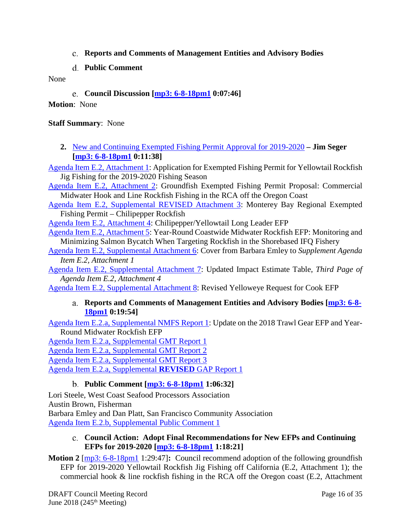- <span id="page-15-0"></span>**Reports and Comments of Management Entities and Advisory Bodies**
- **Public Comment**

<span id="page-15-2"></span><span id="page-15-1"></span>None

**Council Discussion [\[mp3: 6-8-18pm1](ftp://ftp.pcouncil.org/pub/R1806_June_2018_Recordings/6-8-18pm1Copy.mp3) 0:07:46]**

**Motion**: None

**Staff Summary**: None

<span id="page-15-3"></span>**2.** [New and Continuing Exempted Fishing Permit](https://www.pcouncil.org/wp-content/uploads/2018/05/E2__SitSum_GF_EFP_Approval_Jun2018BB.pdf) Approval for 2019-2020 **– Jim Seger [\[mp3: 6-8-18pm1](ftp://ftp.pcouncil.org/pub/R1806_June_2018_Recordings/6-8-18pm1Copy.mp3) 0:11:38]**

[Agenda Item E.2, Attachment 1:](https://www.pcouncil.org/wp-content/uploads/2018/05/E2_Att1_PlattEmleyApp_Suggested_Updates_003_June2018BB.pdf) Application for Exempted Fishing Permit for Yellowtail Rockfish Jig Fishing for the 2019-2020 Fishing Season

[Agenda Item E.2, Attachment 2:](https://www.pcouncil.org/wp-content/uploads/2018/05/E2_Att2_Cook_App_JUN2018BB.pdf) Groundfish Exempted Fishing Permit Proposal: Commercial Midwater Hook and Line Rockfish Fishing in the RCA off the Oregon Coast

[Agenda Item E.2, Supplemental REVISED Attachment 3:](https://www.pcouncil.org/wp-content/uploads/2018/06/E2_Supp_REVISED_Att3_Monterey_Bay_EFP_Final_Jun2018BB.pdf) Monterey Bay Regional Exempted Fishing Permit – Chilipepper Rockfish

[Agenda Item E.2, Attachment 4:](https://www.pcouncil.org/wp-content/uploads/2018/05/E2_Att4_Mattusch_Chilipepper_longleader_EFP_Jun2018BB.pdf) Chilipepper/Yellowtail Long Leader EFP

[Agenda Item E.2, Attachment 5:](https://www.pcouncil.org/wp-content/uploads/2018/05/E2_Att5_MWT_Draft.5.11.2018_Jun2018BB.pdf) Year-Round Coastwide Midwater Rockfish EFP: Monitoring and Minimizing Salmon Bycatch When Targeting Rockfish in the Shorebased IFQ Fishery

[Agenda Item E.2, Supplemental Attachment 6:](https://www.pcouncil.org/wp-content/uploads/2018/06/E2_Supp_Att6_PlattEmley_EFP_JUNE2018BB.pdf) Cover from Barbara Emley to *Supplement Agenda Item E.2, Attachment 1*

[Agenda Item E.2, Supplemental Attachment 7:](https://www.pcouncil.org/wp-content/uploads/2018/06/E2_Supp_Att7_Mattusch_EFP_JUNE2018BB.pdf) Updated Impact Estimate Table, *Third Page of Agenda Item E.2, Attachment 4*

<span id="page-15-4"></span>[Agenda Item E.2, Supplemental Attachment 8:](https://www.pcouncil.org/wp-content/uploads/2018/06/E2_Supp_Att8_CookRevYeyeReq_JUNE2018BB.pdf) Revised Yelloweye Request for Cook EFP

### **Reports and Comments of Management Entities and Advisory Bodies [\[mp3: 6-8-](ftp://ftp.pcouncil.org/pub/R1806_June_2018_Recordings/6-8-18pm1Copy.mp3) [18pm1](ftp://ftp.pcouncil.org/pub/R1806_June_2018_Recordings/6-8-18pm1Copy.mp3) 0:19:54]**

[Agenda Item E.2.a, Supplemental NMFS Report 1:](https://www.pcouncil.org/wp-content/uploads/2018/06/E2a_Supp_NMFS_Rpt1_Groundfish_EFP_Updates_JUNE2018BB.pdf) Update on the 2018 Trawl Gear EFP and Year-Round Midwater Rockfish EFP

Agenda Item E.2.a, [Supplemental GMT Report 1](https://www.pcouncil.org/wp-content/uploads/2018/06/E2a_Supp_GMT_Rpt1_JUNE2018BB.pdf)

[Agenda Item E.2.a, Supplemental GMT Report 2](https://www.pcouncil.org/wp-content/uploads/2018/06/E2a_Supp_GMT_Rpt2_JUNE2018BB.pdf)

[Agenda Item E.2.a, Supplemental GMT Report 3](https://www.pcouncil.org/wp-content/uploads/2018/06/E2a_Supp_GMT_Rpt3_UPATED_EXEMPTED_FISHING_PERMIT_SET_JUN2018BB.pdf)

<span id="page-15-5"></span>[Agenda Item E.2.a, Supplemental](https://www.pcouncil.org/wp-content/uploads/2018/06/E2a_Supp_REVISED_GAP_Rpt1_EFPs_JUNE2018BB.pdf) **REVISED** GAP Report 1

## **Public Comment [\[mp3: 6-8-18pm1](ftp://ftp.pcouncil.org/pub/R1806_June_2018_Recordings/6-8-18pm1Copy.mp3) 1:06:32]**

Lori Steele, West Coast Seafood Processors Association Austin Brown, Fisherman Barbara Emley and Dan Platt, San Francisco Community Association [Agenda Item E.2.b, Supplemental Public Comment 1](https://www.pcouncil.org/wp-content/uploads/2018/06/E2b_Supp_Pub_Comm1_JUNE2018BB.pdf)

### <span id="page-15-6"></span>**Council Action: Adopt Final Recommendations for New EFPs and Continuing EFPs for 2019-2020 [\[mp3: 6-8-18pm1](ftp://ftp.pcouncil.org/pub/R1806_June_2018_Recordings/6-8-18pm1Copy.mp3) 1:18:21]**

**Motion 2** [\[mp3: 6-8-18pm1](ftp://ftp.pcouncil.org/pub/R1806_June_2018_Recordings/6-8-18pm1Copy.mp3) 1:29:47]: Council recommend adoption of the following groundfish EFP for 2019-2020 Yellowtail Rockfish Jig Fishing off California (E.2, Attachment 1); the commercial hook & line rockfish fishing in the RCA off the Oregon coast (E.2, Attachment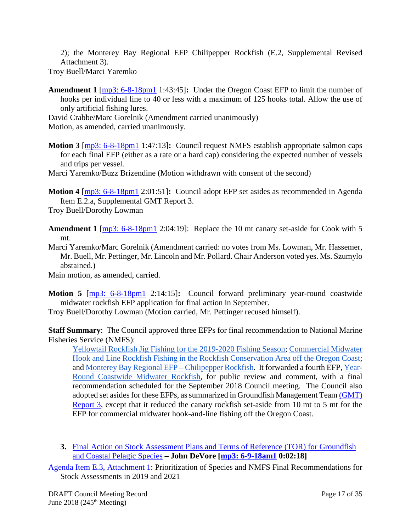2); the Monterey Bay Regional EFP Chilipepper Rockfish (E.2, Supplemental Revised Attachment 3).

Troy Buell/Marci Yaremko

**Amendment 1** [\[mp3: 6-8-18pm1](ftp://ftp.pcouncil.org/pub/R1806_June_2018_Recordings/6-8-18pm1Copy.mp3) 1:43:45]**:** Under the Oregon Coast EFP to limit the number of hooks per individual line to 40 or less with a maximum of 125 hooks total. Allow the use of only artificial fishing lures.

David Crabbe/Marc Gorelnik (Amendment carried unanimously)

Motion, as amended, carried unanimously.

**Motion 3** [\[mp3: 6-8-18pm1](ftp://ftp.pcouncil.org/pub/R1806_June_2018_Recordings/6-8-18pm1Copy.mp3) 1:47:13]**:** Council request NMFS establish appropriate salmon caps for each final EFP (either as a rate or a hard cap) considering the expected number of vessels and trips per vessel.

Marci Yaremko/Buzz Brizendine (Motion withdrawn with consent of the second)

**Motion 4** [\[mp3: 6-8-18pm1](ftp://ftp.pcouncil.org/pub/R1806_June_2018_Recordings/6-8-18pm1Copy.mp3) 2:01:51]**:** Council adopt EFP set asides as recommended in Agenda Item E.2.a, Supplemental GMT Report 3.

Troy Buell/Dorothy Lowman

**Amendment 1** [\[mp3: 6-8-18pm1](ftp://ftp.pcouncil.org/pub/R1806_June_2018_Recordings/6-8-18pm1Copy.mp3) 2:04:19]: Replace the 10 mt canary set-aside for Cook with 5 mt.

Marci Yaremko/Marc Gorelnik (Amendment carried: no votes from Ms. Lowman, Mr. Hassemer, Mr. Buell, Mr. Pettinger, Mr. Lincoln and Mr. Pollard. Chair Anderson voted yes. Ms. Szumylo abstained.)

Main motion, as amended, carried.

**Motion 5** [\[mp3: 6-8-18pm1](ftp://ftp.pcouncil.org/pub/R1806_June_2018_Recordings/6-8-18pm1Copy.mp3) 2:14:15]**:** Council forward preliminary year-round coastwide midwater rockfish EFP application for final action in September.

Troy Buell/Dorothy Lowman (Motion carried, Mr. Pettinger recused himself).

**Staff Summary**: The Council approved three EFPs for final recommendation to National Marine Fisheries Service (NMFS):

Yellowtail Rockfish Jig [Fishing for the 2019-2020 Fishing Season;](https://www.pcouncil.org/wp-content/uploads/2018/05/E2_Att1_PlattEmleyApp_Suggested_Updates_003_June2018BB.pdf) [Commercial Midwater](https://www.pcouncil.org/wp-content/uploads/2018/05/E2_Att2_Cook_App_JUN2018BB.pdf)  [Hook and Line Rockfish Fishing in the Rockfish Conservation Area off the Oregon Coast;](https://www.pcouncil.org/wp-content/uploads/2018/05/E2_Att2_Cook_App_JUN2018BB.pdf) an[d Monterey Bay Regional EFP –](https://www.pcouncil.org/wp-content/uploads/2018/06/E2_Supp_REVISED_Att3_Monterey_Bay_EFP_Final_Jun2018BB.pdf) Chilipepper Rockfish. It forwarded a fourth EFP[, Year-](https://www.pcouncil.org/wp-content/uploads/2018/05/E2_Att5_MWT_Draft.5.11.2018_Jun2018BB.pdf)[Round Coastwide Midwater Rockfish,](https://www.pcouncil.org/wp-content/uploads/2018/05/E2_Att5_MWT_Draft.5.11.2018_Jun2018BB.pdf) for public review and comment, with a final recommendation scheduled for the September 2018 Council meeting. The Council also adopted set asides for these EFPs, as summarized in Groundfish Management Tea[m \(GMT\)](https://www.pcouncil.org/wp-content/uploads/2018/06/E2a_Supp_GMT_Rpt3_UPATED_EXEMPTED_FISHING_PERMIT_SET_JUN2018BB.pdf)  [Report 3,](https://www.pcouncil.org/wp-content/uploads/2018/06/E2a_Supp_GMT_Rpt3_UPATED_EXEMPTED_FISHING_PERMIT_SET_JUN2018BB.pdf) except that it reduced the canary rockfish set-aside from 10 mt to 5 mt for the EFP for commercial midwater hook-and-line fishing off the Oregon Coast.

<span id="page-16-0"></span>**3.** [Final Action on Stock Assessment Plans and Terms of Reference \(TOR\) for Groundfish](https://www.pcouncil.org/wp-content/uploads/2018/05/E3__SitSum_AssessmentPlanning_June2018BB.pdf)  [and Coastal Pelagic Species](https://www.pcouncil.org/wp-content/uploads/2018/05/E3__SitSum_AssessmentPlanning_June2018BB.pdf) **– John DeVore [\[mp3: 6-9-18am1](ftp://ftp.pcouncil.org/pub/R1806_June_2018_Recordings/6-9-18am1Copy.mp3) 0:02:18]**

[Agenda Item E.3, Attachment 1:](https://www.pcouncil.org/wp-content/uploads/2018/05/E3_Att1_NMFS_StockAssessmentPrioritization_June2018BB.pdf) Prioritization of Species and NMFS Final Recommendations for Stock Assessments in 2019 and 2021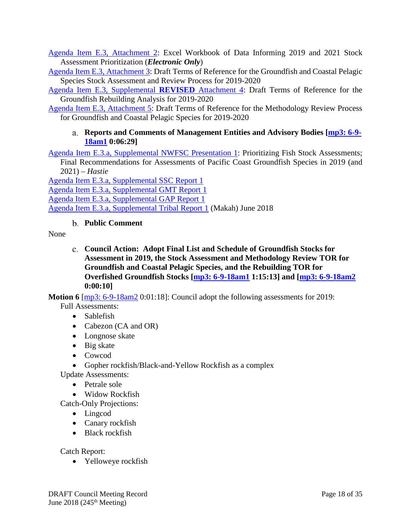[Agenda Item E.3, Attachment 2:](https://www.pcouncil.org/wp-content/uploads/2018/05/E3_Att2_NMFS_Prioritzation_Workbook_E-Only_June2018BB.xlsx) Excel Workbook of Data Informing 2019 and 2021 Stock Assessment Prioritization (*Electronic Only*)

[Agenda Item E.3, Attachment 3:](https://www.pcouncil.org/wp-content/uploads/2018/05/E3_Att3_Draft_Stock_Assessment_ToR_2019-20_June2018BB.pdf) Draft Terms of Reference for the Groundfish and Coastal Pelagic Species Stock Assessment and Review Process for 2019-2020

[Agenda Item E.3, Supplemental](https://www.pcouncil.org/wp-content/uploads/2018/06/E3_Supp_REVISEDAtt4_DRAFT_GF_Rebuild_ToR_2019-20_June2018BB.pdf) **REVISED** Attachment 4: Draft Terms of Reference for the Groundfish Rebuilding Analysis for 2019-2020

<span id="page-17-0"></span>[Agenda Item E.3, Attachment 5:](https://www.pcouncil.org/wp-content/uploads/2018/05/E3_Att5_Draft_Methodology_ToR_CPSGF-2019-20_June2018BB.pdf) Draft Terms of Reference for the Methodology Review Process for Groundfish and Coastal Pelagic Species for 2019-2020

### **Reports and Comments of Management Entities and Advisory Bodies [\[mp3: 6-9-](ftp://ftp.pcouncil.org/pub/R1806_June_2018_Recordings/6-9-18am1Copy.mp3) [18am1](ftp://ftp.pcouncil.org/pub/R1806_June_2018_Recordings/6-9-18am1Copy.mp3) 0:06:29]**

[Agenda Item E.3.a, Supplemental NWFSC Presentation 1:](https://www.pcouncil.org/wp-content/uploads/2018/06/E3a_Supp_NWFSC_Presentation1_Hastie_JUNE2018BB.pdf) Prioritizing Fish Stock Assessments; Final Recommendations for Assessments of Pacific Coast Groundfish Species in 2019 (and 2021) – *Hastie*

[Agenda Item E.3.a, Supplemental SSC Report 1](https://www.pcouncil.org/wp-content/uploads/2018/06/E3a_Supp_SSC_Rpt1_JUN2018BB.pdf) [Agenda Item E.3.a, Supplemental GMT Report 1](https://www.pcouncil.org/wp-content/uploads/2018/06/E3a_Supp_GMT_Rpt1_JUN2018BB.pdf) [Agenda Item E.3.a, Supplemental GAP Report 1](https://www.pcouncil.org/wp-content/uploads/2018/06/E3a_Supp_GAP_Rpt1_JUN2018BB.pdf) [Agenda Item E.3.a, Supplemental Tribal Report 1](https://www.pcouncil.org/wp-content/uploads/2018/06/E3a_Supp_Tribal_Rpt1_Makah_June2018BB.pdf) (Makah) June 2018

## **Public Comment**

<span id="page-17-2"></span><span id="page-17-1"></span>None

**Council Action: Adopt Final List and Schedule of Groundfish Stocks for Assessment in 2019, the Stock Assessment and Methodology Review TOR for Groundfish and Coastal Pelagic Species, and the Rebuilding TOR for Overfished Groundfish Stocks [\[mp3: 6-9-18am1](ftp://ftp.pcouncil.org/pub/R1806_June_2018_Recordings/6-9-18am1Copy.mp3) 1:15:13] and [\[mp3: 6-9-18am2](ftp://ftp.pcouncil.org/pub/R1806_June_2018_Recordings/6-9-18am2Copy.mp3) 0:00:10]**

**Motion 6** [\[mp3: 6-9-18am2](ftp://ftp.pcouncil.org/pub/R1806_June_2018_Recordings/6-9-18am2Copy.mp3) 0:01:18]: Council adopt the following assessments for 2019:

Full Assessments:

- Sablefish
- Cabezon (CA and OR)
- Longnose skate
- Big skate
- Cowcod
- Gopher rockfish/Black-and-Yellow Rockfish as a complex
- Update Assessments:
	- Petrale sole
	- Widow Rockfish

Catch-Only Projections:

- Lingcod
- Canary rockfish
- Black rockfish

Catch Report:

• Yelloweye rockfish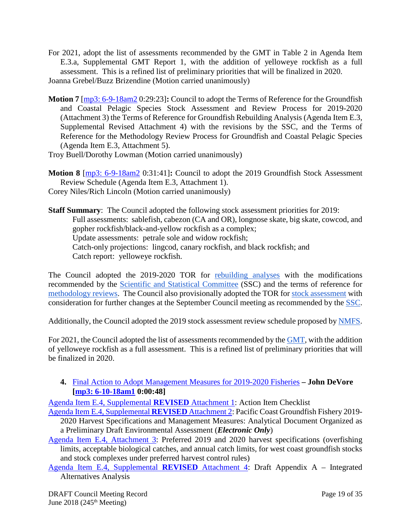- For 2021, adopt the list of assessments recommended by the GMT in Table 2 in Agenda Item E.3.a, Supplemental GMT Report 1, with the addition of yelloweye rockfish as a full assessment. This is a refined list of preliminary priorities that will be finalized in 2020.
- Joanna Grebel/Buzz Brizendine (Motion carried unanimously)
- **Motion 7** [\[mp3: 6-9-18am2](ftp://ftp.pcouncil.org/pub/R1806_June_2018_Recordings/6-9-18am2Copy.mp3) 0:29:23]**:** Council to adopt the Terms of Reference for the Groundfish and Coastal Pelagic Species Stock Assessment and Review Process for 2019-2020 (Attachment 3) the Terms of Reference for Groundfish Rebuilding Analysis (Agenda Item E.3, Supplemental Revised Attachment 4) with the revisions by the SSC, and the Terms of Reference for the Methodology Review Process for Groundfish and Coastal Pelagic Species (Agenda Item E.3, Attachment 5).

Troy Buell/Dorothy Lowman (Motion carried unanimously)

**Motion 8** [\[mp3: 6-9-18am2](ftp://ftp.pcouncil.org/pub/R1806_June_2018_Recordings/6-9-18am2Copy.mp3) 0:31:41]**:** Council to adopt the 2019 Groundfish Stock Assessment Review Schedule (Agenda Item E.3, Attachment 1).

Corey Niles/Rich Lincoln (Motion carried unanimously)

**Staff Summary**: The Council adopted the following stock assessment priorities for 2019: Full assessments: sablefish, cabezon (CA and OR), longnose skate, big skate, cowcod, and gopher rockfish/black-and-yellow rockfish as a complex; Update assessments: petrale sole and widow rockfish; Catch-only projections: lingcod, canary rockfish, and black rockfish; and Catch report: yelloweye rockfish.

The Council adopted the 2019-2020 TOR for [rebuilding analyses](https://www.pcouncil.org/wp-content/uploads/2018/06/E3_Supp_REVISEDAtt4_DRAFT_GF_Rebuild_ToR_2019-20_June2018BB.pdf) with the modifications recommended by the [Scientific and Statistical Committee](https://www.pcouncil.org/wp-content/uploads/2018/06/E3a_Supp_SSC_Rpt1_JUN2018BB.pdf) (SSC) and the terms of reference for [methodology reviews.](https://www.pcouncil.org/wp-content/uploads/2018/05/E3_Att5_Draft_Methodology_ToR_CPSGF-2019-20_June2018BB.pdf) The Council also provisionally adopted the TOR fo[r stock assessment](https://www.pcouncil.org/wp-content/uploads/2018/05/E3_Att3_Draft_Stock_Assessment_ToR_2019-20_June2018BB.pdf) with consideration for further changes at the September Council meeting as recommended by the [SSC.](https://www.pcouncil.org/wp-content/uploads/2018/06/E3a_Supp_SSC_Rpt1_JUN2018BB.pdf)

Additionally, the Council adopted the 2019 stock assessment review schedule proposed by [NMFS.](https://www.pcouncil.org/wp-content/uploads/2018/05/E3_Att1_NMFS_StockAssessmentPrioritization_June2018BB.pdf)

For 2021, the Council adopted the list of assessments recommended by th[e GMT,](https://www.pcouncil.org/wp-content/uploads/2018/06/E3a_Supp_GMT_Rpt1_JUN2018BB.pdf) with the addition of yelloweye rockfish as a full assessment. This is a refined list of preliminary priorities that will be finalized in 2020.

## <span id="page-18-0"></span>**4.** [Final Action to Adopt Management Measures for 2019-2020 Fisheries](https://www.pcouncil.org/wp-content/uploads/2018/05/E4__SitSum_1920_SpexMMs_June2018BB.pdf) **– John DeVore [\[mp3: 6-10-18am1](ftp://ftp.pcouncil.org/pub/R1806_June_2018_Recordings/6-10-18am1Copy.mp3) 0:00:48]**

[Agenda Item E.4, Supplemental](https://www.pcouncil.org/wp-content/uploads/2018/06/E4_Supp_REVISEDAtt1_ActionItemChecklist_June2018BB.pdf) **REVISED** Attachment 1: Action Item Checklist [Agenda Item E.4, Supplemental](https://www.pcouncil.org/wp-content/uploads/2018/06/E4_Supp_REVISEDAtt2_2019-20_GFSpexEA_E-Only_June2018BB.pdf) **REVISED** Attachment 2: Pacific Coast Groundfish Fishery 2019-

2020 Harvest Specifications and Management Measures: Analytical Document Organized as a Preliminary Draft Environmental Assessment (*Electronic Only*)

[Agenda Item E.4, Attachment 3:](https://www.pcouncil.org/wp-content/uploads/2018/05/E4_Att3_SpexTables_June2018BB.pdf) Preferred 2019 and 2020 harvest specifications (overfishing limits, acceptable biological catches, and annual catch limits, for west coast groundfish stocks and stock complexes under preferred harvest control rules)

[Agenda Item E.4, Supplemental](https://www.pcouncil.org/wp-content/uploads/2018/06/E4_Supp_REVISEDAtt4_App_A_Integrated_Alternatives_Analysis_June2018BB.pdf) **REVISED** Attachment 4: Draft Appendix A – Integrated Alternatives Analysis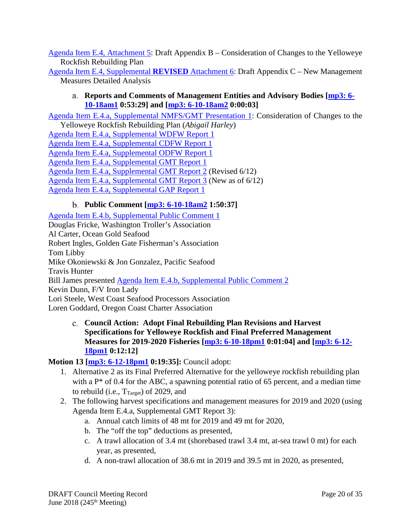[Agenda Item E.4, Attachment 5:](https://www.pcouncil.org/wp-content/uploads/2018/05/E4_Att5_App_B_YE_June2018BB.pdf) Draft Appendix B – Consideration of Changes to the Yelloweye Rockfish Rebuilding Plan

<span id="page-19-0"></span>[Agenda Item E.4, Supplemental](https://www.pcouncil.org/wp-content/uploads/2018/06/E4_Supp_REVISEDAtt6_Appendix_C_New_Management_Measures_June2018BB.pdf) **REVISED** Attachment 6: Draft Appendix C – New Management Measures Detailed Analysis

### **Reports and Comments of Management Entities and Advisory Bodies [\[mp3: 6-](ftp://ftp.pcouncil.org/pub/R1806_June_2018_Recordings/6-10-18am1Copy.mp3) [10-18am1](ftp://ftp.pcouncil.org/pub/R1806_June_2018_Recordings/6-10-18am1Copy.mp3) 0:53:29] and [\[mp3: 6-10-18am2](ftp://ftp.pcouncil.org/pub/R1806_June_2018_Recordings/6-10-18am2Copy.mp3) 0:00:03]**

[Agenda Item E.4.a, Supplemental NMFS/GMT Presentation 1:](https://www.pcouncil.org/wp-content/uploads/2018/06/E4a_Sup_NMFS-GMT_Presentation1_Harley_Appendix-B_Yelloweye_Rebuilding_Plan_JUN2018BB.pdf) Consideration of Changes to the Yelloweye Rockfish Rebuilding Plan (*Abigail Harley*)

[Agenda Item E.4.a, Supplemental WDFW Report 1](https://www.pcouncil.org/wp-content/uploads/2018/06/E4a_Supp_WDFW_Rpt1_troll_lingcod_JUN2018BB.pdf) [Agenda Item E.4.a, Supplemental CDFW Report 1](https://www.pcouncil.org/wp-content/uploads/2018/06/E4a_Supp_CDFW_Rpt1_JUN2018BB.pdf) [Agenda Item E.4.a, Supplemental ODFW Report 1](https://www.pcouncil.org/wp-content/uploads/2018/06/E4a_Supp_ODFW_Rpt1_JUN2018BB.pdf) [Agenda Item E.4.a, Supplemental GMT Report 1](https://www.pcouncil.org/wp-content/uploads/2018/06/E4a_Supp_GMT_Rpt1_JUN2018BB.pdf) [Agenda Item E.4.a, Supplemental GMT Report 2](https://www.pcouncil.org/wp-content/uploads/2018/06/E4a_Supp_GMT_Rpt2_JUN2018BB.pdf) (Revised 6/12) [Agenda Item E.4.a, Supplemental GMT Report 3](https://www.pcouncil.org/wp-content/uploads/2018/06/E4a_Supp_GMT_Rpt3_YE_RockfishTable_JUN2018BB.pdf) (New as of 6/12) [Agenda Item E.4.a, Supplemental GAP Report 1](https://www.pcouncil.org/wp-content/uploads/2018/06/E4a_Supp_GAP_Rpt1_JUN2018BB.pdf)

## **Public Comment [\[mp3: 6-10-18am2](ftp://ftp.pcouncil.org/pub/R1806_June_2018_Recordings/6-10-18am2Copy.mp3) 1:50:37]**

<span id="page-19-1"></span>[Agenda Item E.4.b, Supplemental Public Comment 1](https://www.pcouncil.org/wp-content/uploads/2018/06/E4b_Supp_Pub_Comm1_JUNE2018BB.pdf) Douglas Fricke, Washington Troller's Association Al Carter, Ocean Gold Seafood Robert Ingles, Golden Gate Fisherman's Association Tom Libby Mike Okoniewski & Jon Gonzalez, Pacific Seafood Travis Hunter Bill James presented [Agenda Item E.4.b, Supplemental Public Comment 2](https://www.pcouncil.org/wp-content/uploads/2018/06/E4b_Supp_Pub_Comm2_JUNE2018BB.pdf) Kevin Dunn, F/V Iron Lady Lori Steele, West Coast Seafood Processors Association Loren Goddard, Oregon Coast Charter Association

<span id="page-19-2"></span>**Council Action: Adopt Final Rebuilding Plan Revisions and Harvest Specifications for Yelloweye Rockfish and Final Preferred Management Measures for 2019-2020 Fisheries [\[mp3: 6-10-18pm1](ftp://ftp.pcouncil.org/pub/R1806_June_2018_Recordings/6-10-18pm1Copy.mp3) 0:01:04] and [\[mp3: 6-12-](ftp://ftp.pcouncil.org/pub/R1806_June_2018_Recordings/6-12-18pm1Copy.mp3) [18pm1](ftp://ftp.pcouncil.org/pub/R1806_June_2018_Recordings/6-12-18pm1Copy.mp3) 0:12:12]**

## **Motion 13 [\[mp3: 6-12-18pm1](ftp://ftp.pcouncil.org/pub/R1806_June_2018_Recordings/6-12-18pm1Copy.mp3) 0:19:35]:** Council adopt:

- 1. Alternative 2 as its Final Preferred Alternative for the yelloweye rockfish rebuilding plan with a  $P^*$  of 0.4 for the ABC, a spawning potential ratio of 65 percent, and a median time to rebuild (i.e.,  $T_{\text{Target}}$ ) of 2029, and
- 2. The following harvest specifications and management measures for 2019 and 2020 (using Agenda Item E.4.a, Supplemental GMT Report 3):
	- a. Annual catch limits of 48 mt for 2019 and 49 mt for 2020,
	- b. The "off the top" deductions as presented,
	- c. A trawl allocation of 3.4 mt (shorebased trawl 3.4 mt, at-sea trawl 0 mt) for each year, as presented,
	- d. A non-trawl allocation of 38.6 mt in 2019 and 39.5 mt in 2020, as presented,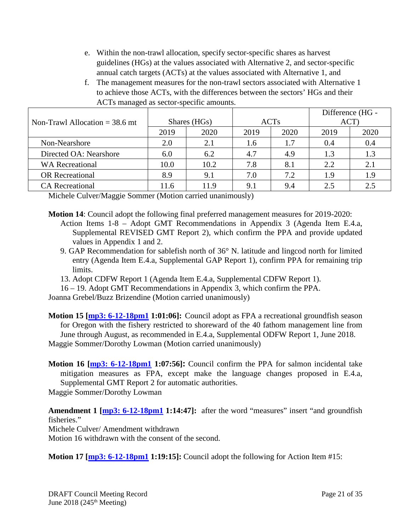- e. Within the non-trawl allocation, specify sector-specific shares as harvest guidelines (HGs) at the values associated with Alternative 2, and sector-specific annual catch targets (ACTs) at the values associated with Alternative 1, and
- f. The management measures for the non-trawl sectors associated with Alternative 1 to achieve those ACTs, with the differences between the sectors' HGs and their ACTs managed as sector-specific amounts.

|                                  |              |      |             |      | Difference (HG - |      |
|----------------------------------|--------------|------|-------------|------|------------------|------|
| Non-Trawl Allocation $=$ 38.6 mt | Shares (HGs) |      | <b>ACTs</b> |      | ACT)             |      |
|                                  | 2019         | 2020 | 2019        | 2020 | 2019             | 2020 |
| Non-Nearshore                    | 2.0          | 2.1  | 1.6         | 1.7  | 0.4              | 0.4  |
| Directed OA: Nearshore           | 6.0          | 6.2  | 4.7         | 4.9  | 1.3              | 1.3  |
| <b>WA Recreational</b>           | 10.0         | 10.2 | 7.8         | 8.1  | 2.2              | 2.1  |
| <b>OR</b> Recreational           | 8.9          | 9.1  | 7.0         | 7.2  | 1.9              | 1.9  |
| <b>CA</b> Recreational           | 11.6         | 11.9 | 9.1         | 9.4  | 2.5              | 2.5  |

Michele Culver/Maggie Sommer (Motion carried unanimously)

**Motion 14**: Council adopt the following final preferred management measures for 2019-2020: Action Items 1-8 – Adopt GMT Recommendations in Appendix 3 (Agenda Item E.4.a, Supplemental REVISED GMT Report 2), which confirm the PPA and provide updated values in Appendix 1 and 2.

9. GAP Recommendation for sablefish north of 36° N. latitude and lingcod north for limited entry (Agenda Item E.4.a, Supplemental GAP Report 1), confirm PPA for remaining trip limits.

13. Adopt CDFW Report 1 (Agenda Item E.4.a, Supplemental CDFW Report 1).

16 – 19. Adopt GMT Recommendations in Appendix 3, which confirm the PPA.

Joanna Grebel/Buzz Brizendine (Motion carried unanimously)

**Motion 15 [\[mp3: 6-12-18pm1](ftp://ftp.pcouncil.org/pub/R1806_June_2018_Recordings/6-12-18pm1Copy.mp3) 1:01:06]:** Council adopt as FPA a recreational groundfish season for Oregon with the fishery restricted to shoreward of the 40 fathom management line from June through August, as recommended in E.4.a, Supplemental ODFW Report 1, June 2018. Maggie Sommer/Dorothy Lowman (Motion carried unanimously)

**Motion 16 [\[mp3: 6-12-18pm1](ftp://ftp.pcouncil.org/pub/R1806_June_2018_Recordings/6-12-18pm1Copy.mp3) 1:07:56]:** Council confirm the PPA for salmon incidental take mitigation measures as FPA, except make the language changes proposed in E.4.a, Supplemental GMT Report 2 for automatic authorities. Maggie Sommer/Dorothy Lowman

**Amendment 1 [\[mp3: 6-12-18pm1](ftp://ftp.pcouncil.org/pub/R1806_June_2018_Recordings/6-12-18pm1Copy.mp3) 1:14:47]:** after the word "measures" insert "and groundfish fisheries." Michele Culver/ Amendment withdrawn Motion 16 withdrawn with the consent of the second.

**Motion 17 [\[mp3: 6-12-18pm1](ftp://ftp.pcouncil.org/pub/R1806_June_2018_Recordings/6-12-18pm1Copy.mp3) 1:19:15]:** Council adopt the following for Action Item #15: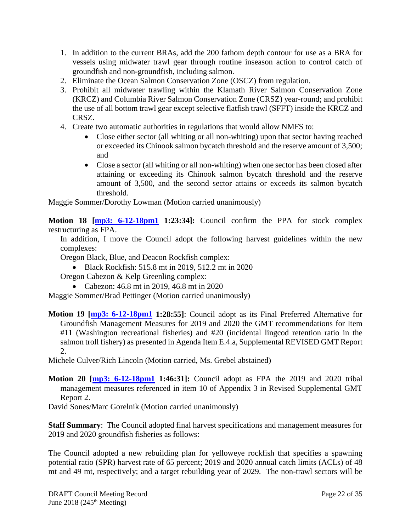- 1. In addition to the current BRAs, add the 200 fathom depth contour for use as a BRA for vessels using midwater trawl gear through routine inseason action to control catch of groundfish and non-groundfish, including salmon.
- 2. Eliminate the Ocean Salmon Conservation Zone (OSCZ) from regulation.
- 3. Prohibit all midwater trawling within the Klamath River Salmon Conservation Zone (KRCZ) and Columbia River Salmon Conservation Zone (CRSZ) year-round; and prohibit the use of all bottom trawl gear except selective flatfish trawl (SFFT) inside the KRCZ and CRSZ.
- 4. Create two automatic authorities in regulations that would allow NMFS to:
	- Close either sector (all whiting or all non-whiting) upon that sector having reached or exceeded its Chinook salmon bycatch threshold and the reserve amount of 3,500; and
	- Close a sector (all whiting or all non-whiting) when one sector has been closed after attaining or exceeding its Chinook salmon bycatch threshold and the reserve amount of 3,500, and the second sector attains or exceeds its salmon bycatch threshold.

Maggie Sommer/Dorothy Lowman (Motion carried unanimously)

**Motion 18 [\[mp3: 6-12-18pm1](ftp://ftp.pcouncil.org/pub/R1806_June_2018_Recordings/6-12-18pm1Copy.mp3) 1:23:34]:** Council confirm the PPA for stock complex restructuring as FPA.

In addition, I move the Council adopt the following harvest guidelines within the new complexes:

Oregon Black, Blue, and Deacon Rockfish complex:

• Black Rockfish: 515.8 mt in 2019, 512.2 mt in 2020

Oregon Cabezon & Kelp Greenling complex:

• Cabezon: 46.8 mt in 2019, 46.8 mt in 2020

Maggie Sommer/Brad Pettinger (Motion carried unanimously)

**Motion 19 [\[mp3: 6-12-18pm1](ftp://ftp.pcouncil.org/pub/R1806_June_2018_Recordings/6-12-18pm1Copy.mp3) 1:28:55]**: Council adopt as its Final Preferred Alternative for Groundfish Management Measures for 2019 and 2020 the GMT recommendations for Item #11 (Washington recreational fisheries) and #20 (incidental lingcod retention ratio in the salmon troll fishery) as presented in Agenda Item E.4.a, Supplemental REVISED GMT Report 2.

Michele Culver/Rich Lincoln (Motion carried, Ms. Grebel abstained)

**Motion 20 [\[mp3: 6-12-18pm1](ftp://ftp.pcouncil.org/pub/R1806_June_2018_Recordings/6-12-18pm1Copy.mp3) 1:46:31]:** Council adopt as FPA the 2019 and 2020 tribal management measures referenced in item 10 of Appendix 3 in Revised Supplemental GMT Report 2.

David Sones/Marc Gorelnik (Motion carried unanimously)

**Staff Summary**: The Council adopted final harvest specifications and management measures for 2019 and 2020 groundfish fisheries as follows:

The Council adopted a new rebuilding plan for yelloweye rockfish that specifies a spawning potential ratio (SPR) harvest rate of 65 percent; 2019 and 2020 annual catch limits (ACLs) of 48 mt and 49 mt, respectively; and a target rebuilding year of 2029. The non-trawl sectors will be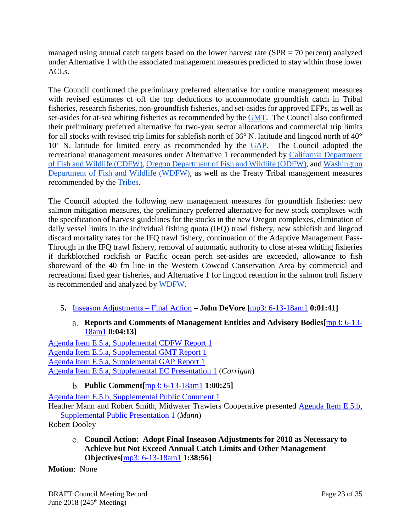managed using annual catch targets based on the lower harvest rate (SPR = 70 percent) analyzed under Alternative 1 with the associated management measures predicted to stay within those lower ACLs.

The Council confirmed the preliminary preferred alternative for routine management measures with revised estimates of off the top deductions to accommodate groundfish catch in Tribal fisheries, research fisheries, non-groundfish fisheries, and set-asides for approved EFPs, as well as set-asides for at-sea whiting fisheries as recommended by the [GMT.](https://www.pcouncil.org/wp-content/uploads/2018/06/E4a_Supp_REVISED_GMT_Rpt2_JUN2018BB.pdf) The Council also confirmed their preliminary preferred alternative for two-year sector allocations and commercial trip limits for all stocks with revised trip limits for sablefish north of 36° N. latitude and lingcod north of 40° 10' N. latitude for limited entry as recommended by the [GAP.](https://www.pcouncil.org/wp-content/uploads/2018/06/E4a_Supp_GAP_Rpt1_Updated_JUN2018BB.pdf) The Council adopted the recreational management measures under Alternative 1 recommended by California Department of Fish and Wildlife (CDFW), Oregon Department of Fish and Wildlife (ODFW), and [Washington](https://www.pcouncil.org/wp-content/uploads/2018/04/F5a_Supp_WDFW_Rpt1_Final_Apr2018BB.pdf)  [Department of Fish and Wildlife \(WDFW\)](https://www.pcouncil.org/wp-content/uploads/2018/04/F5a_Supp_WDFW_Rpt1_Final_Apr2018BB.pdf), as well as the Treaty Tribal management measures recommended by the [Tribes.](https://www.pcouncil.org/wp-content/uploads/2017/11/F9a_REVISED_Sup_Tribal_Rpt1_NOV2017BB.pdf)

The Council adopted the following new management measures for groundfish fisheries: new salmon mitigation measures, the preliminary preferred alternative for new stock complexes with the specification of harvest guidelines for the stocks in the new Oregon complexes, elimination of daily vessel limits in the individual fishing quota (IFQ) trawl fishery, new sablefish and lingcod discard mortality rates for the IFQ trawl fishery, continuation of the Adaptive Management Pass-Through in the IFQ trawl fishery, removal of automatic authority to close at-sea whiting fisheries if darkblotched rockfish or Pacific ocean perch set-asides are exceeded, allowance to fish shoreward of the 40 fm line in the Western Cowcod Conservation Area by commercial and recreational fixed gear fisheries, and Alternative 1 for lingcod retention in the salmon troll fishery as recommended and analyzed by [WDFW.](https://www.pcouncil.org/wp-content/uploads/2018/06/E4a_Supp_WDFW_Rpt1_troll_lingcod_JUN2018BB.pdf)

- <span id="page-22-1"></span><span id="page-22-0"></span>**5.** [Inseason Adjustments –](https://www.pcouncil.org/wp-content/uploads/2018/05/E5__SitSum_Inseason_June2018BB.pdf) Final Action **– John DeVore [**[mp3: 6-13-18am1](ftp://ftp.pcouncil.org/pub/R1806_June_2018_Recordings/6-13-18am1Copy.mp3) **0:01:41]**
	- **Reports and Comments of Management Entities and Advisory Bodies[**[mp3: 6-13-](ftp://ftp.pcouncil.org/pub/R1806_June_2018_Recordings/6-13-18am1Copy.mp3) [18am1](ftp://ftp.pcouncil.org/pub/R1806_June_2018_Recordings/6-13-18am1Copy.mp3) **0:04:13]**

[Agenda Item E.5.a, Supplemental CDFW Report 1](https://www.pcouncil.org/wp-content/uploads/2018/06/E5a_Supp_CDFW_Rpt1_JUN2018BB.pdf) [Agenda Item E.5.a, Supplemental GMT Report 1](https://www.pcouncil.org/wp-content/uploads/2018/06/E5a_Supp_GMT_Rpt1_JUN2018BB_9amVersion.pdf) [Agenda Item E.5.a, Supplemental GAP Report 1](https://www.pcouncil.org/wp-content/uploads/2018/06/E5a_Supp_GAP_Rpt1_JUN2018BB.pdf) [Agenda Item E.5.a, Supplemental EC Presentation 1](https://www.pcouncil.org/wp-content/uploads/2018/06/E5a_Supp_EC_Presentation1_Corrigan_JUNE2018BB.pdf) (*Corrigan*)

**Public Comment[**[mp3: 6-13-18am1](ftp://ftp.pcouncil.org/pub/R1806_June_2018_Recordings/6-13-18am1Copy.mp3) **1:00:25]**

<span id="page-22-2"></span>[Agenda Item E.5.b, Supplemental Public Comment 1](https://www.pcouncil.org/wp-content/uploads/2018/06/E5b_Supp_Pub_Comm1_JUNE2018BB.pdf)

Heather Mann and Robert Smith, Midwater Trawlers Cooperative presented [Agenda Item E.5.b,](https://www.pcouncil.org/wp-content/uploads/2018/06/E5b_Supp_PublicPresentation1_Mann_MTC_Inseason_JUNE2018BB.ppsx)  [Supplemental Public Presentation 1](https://www.pcouncil.org/wp-content/uploads/2018/06/E5b_Supp_PublicPresentation1_Mann_MTC_Inseason_JUNE2018BB.ppsx) (*Mann*)

<span id="page-22-3"></span>Robert Dooley

**Council Action: Adopt Final Inseason Adjustments for 2018 as Necessary to Achieve but Not Exceed Annual Catch Limits and Other Management Objectives[**[mp3: 6-13-18am1](ftp://ftp.pcouncil.org/pub/R1806_June_2018_Recordings/6-13-18am1Copy.mp3) **1:38:56]**

**Motion**: None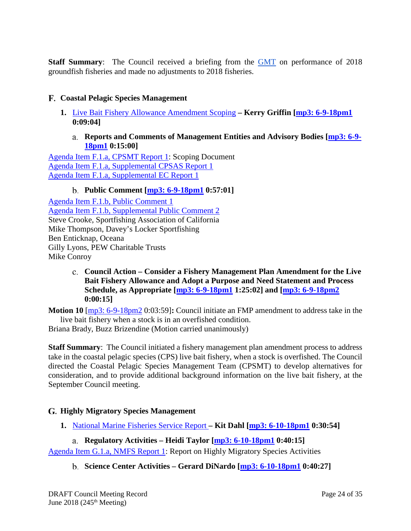**Staff Summary:** The Council received a briefing from the **[GMT](https://www.pcouncil.org/wp-content/uploads/2018/06/E5a_Supp_GMT_Rpt1_JUN2018BB_9amVersion.pdf)** on performance of 2018 groundfish fisheries and made no adjustments to 2018 fisheries.

## <span id="page-23-0"></span>**Coastal Pelagic Species Management**

- <span id="page-23-1"></span>**1.** [Live Bait Fishery Allowance Amendment Scoping](https://www.pcouncil.org/wp-content/uploads/2018/05/F1__SitSum_Live_bait_Jun2018BB.pdf) **– Kerry Griffin [\[mp3: 6-9-18pm1](ftp://ftp.pcouncil.org/pub/R1806_June_2018_Recordings/6-9-18pm1Copy.mp3) 0:09:04]**
	- **Reports and Comments of Management Entities and Advisory Bodies [\[mp3: 6-9-](ftp://ftp.pcouncil.org/pub/R1806_June_2018_Recordings/6-9-18pm1Copy.mp3) [18pm1](ftp://ftp.pcouncil.org/pub/R1806_June_2018_Recordings/6-9-18pm1Copy.mp3) 0:15:00]**

<span id="page-23-2"></span>[Agenda Item F.1.a, CPSMT Report 1:](https://www.pcouncil.org/wp-content/uploads/2018/05/F1a_CPSMT_Rpt1_Live_Bait_Jun2018BB.pdf) Scoping Document [Agenda Item F.1.a, Supplemental CPSAS Report 1](https://www.pcouncil.org/wp-content/uploads/2018/06/F1a_Supp_CPSAS_Rpt1_JUN2018BB.pdf) [Agenda Item F.1.a, Supplemental EC Report 1](https://www.pcouncil.org/wp-content/uploads/2018/06/F1a_Supp_EC_Rpt1_JUN2018BB.pdf)

### **Public Comment [\[mp3: 6-9-18pm1](ftp://ftp.pcouncil.org/pub/R1806_June_2018_Recordings/6-9-18pm1Copy.mp3) 0:57:01]**

<span id="page-23-3"></span>[Agenda Item F.1.b, Public Comment 1](https://www.pcouncil.org/wp-content/uploads/2018/05/F1b_Public_Comment1_Jun2018BB.pdf) [Agenda Item F.1.b, Supplemental Public Comment 2](https://www.pcouncil.org/wp-content/uploads/2018/06/F1b_Supp_Pub_Comm2-_Jun2018BB.pdf) Steve Crooke, Sportfishing Association of California Mike Thompson, Davey's Locker Sportfishing Ben Enticknap, Oceana Gilly Lyons, PEW Charitable Trusts Mike Conroy

> <span id="page-23-4"></span>**Council Action – Consider a Fishery Management Plan Amendment for the Live Bait Fishery Allowance and Adopt a Purpose and Need Statement and Process Schedule, as Appropriate [\[mp3: 6-9-18pm1](ftp://ftp.pcouncil.org/pub/R1806_June_2018_Recordings/6-9-18pm1Copy.mp3) 1:25:02] and [\[mp3: 6-9-18pm2](ftp://ftp.pcouncil.org/pub/R1806_June_2018_Recordings/6-9-18pm2Copy.mp3) 0:00:15]**

**Motion 10** [\[mp3: 6-9-18pm2](ftp://ftp.pcouncil.org/pub/R1806_June_2018_Recordings/6-9-18pm2Copy.mp3) 0:03:59]**:** Council initiate an FMP amendment to address take in the live bait fishery when a stock is in an overfished condition.

Briana Brady, Buzz Brizendine (Motion carried unanimously)

**Staff Summary**: The Council initiated a fishery management plan amendment process to address take in the coastal pelagic species (CPS) live bait fishery, when a stock is overfished. The Council directed the Coastal Pelagic Species Management Team (CPSMT) to develop alternatives for consideration, and to provide additional background information on the live bait fishery, at the September Council meeting.

## <span id="page-23-5"></span>**Highly Migratory Species Management**

<span id="page-23-6"></span>**1.** [National Marine Fisheries Service Report](https://www.pcouncil.org/wp-content/uploads/2018/05/G1__SitSum_NMFS_Report_HMS_JUN2018BB.pdf) **– Kit Dahl [\[mp3: 6-10-18pm1](ftp://ftp.pcouncil.org/pub/R1806_June_2018_Recordings/6-10-18pm1Copy.mp3) 0:30:54]**

## **Regulatory Activities – Heidi Taylor [\[mp3: 6-10-18pm1](ftp://ftp.pcouncil.org/pub/R1806_June_2018_Recordings/6-10-18pm1Copy.mp3) 0:40:15]**

<span id="page-23-8"></span><span id="page-23-7"></span>[Agenda Item G.1.a, NMFS Report 1:](https://www.pcouncil.org/wp-content/uploads/2018/05/G1a_NMFS_Rpt1_JUN2018BB.pdf) Report on Highly Migratory Species Activities

## **Science Center Activities – Gerard DiNardo [\[mp3: 6-10-18pm1](ftp://ftp.pcouncil.org/pub/R1806_June_2018_Recordings/6-10-18pm1Copy.mp3) 0:40:27]**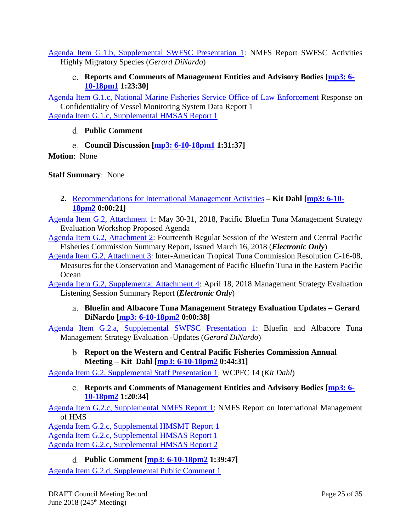<span id="page-24-0"></span>[Agenda Item G.1.b, Supplemental SWFSC Presentation 1:](https://www.pcouncil.org/wp-content/uploads/2018/06/G1b_Supp_SWFSC_Presentation1_DiNardo_HMS_IntlActivities_JUN2018BB.pdf) NMFS Report SWFSC Activities Highly Migratory Species (*Gerard DiNardo*)

## **Reports and Comments of Management Entities and Advisory Bodies [\[mp3: 6-](ftp://ftp.pcouncil.org/pub/R1806_June_2018_Recordings/6-10-18pm1Copy.mp3) [10-18pm1](ftp://ftp.pcouncil.org/pub/R1806_June_2018_Recordings/6-10-18pm1Copy.mp3) 1:23:30]**

[Agenda Item G.1.c, National Marine Fisheries Service Office of Law Enforcement](https://www.pcouncil.org/wp-content/uploads/2018/05/G1c_WCD_OLE-ResponseToMarch2018VMSQuestion-HMS_20180510-signed_Jun2018BB.pdf) Response on Confidentiality of Vessel Monitoring System Data Report 1 [Agenda Item G.1.c, Supplemental HMSAS Report 1](https://www.pcouncil.org/wp-content/uploads/2018/06/G1c_Supp_HMSAS_Rpt1_JUN2018BB.pdf)

## <span id="page-24-1"></span>**Public Comment**

## **Council Discussion [\[mp3: 6-10-18pm1](ftp://ftp.pcouncil.org/pub/R1806_June_2018_Recordings/6-10-18pm1Copy.mp3) 1:31:37]**

<span id="page-24-2"></span>**Motion**: None

**Staff Summary**: None

<span id="page-24-3"></span>**2.** [Recommendations for International Management Activities](https://www.pcouncil.org/wp-content/uploads/2018/05/G2__Sitsum_InternationalManagement_JUN2018BB.pdf) **– Kit Dahl [\[mp3: 6-10-](ftp://ftp.pcouncil.org/pub/R1806_June_2018_Recordings/6-10-18pm2Copy.mp3) [18pm2](ftp://ftp.pcouncil.org/pub/R1806_June_2018_Recordings/6-10-18pm2Copy.mp3) 0:00:21]**

[Agenda Item G.2, Attachment 1:](https://www.pcouncil.org/wp-content/uploads/2018/05/G2_Att1_PBFWG_MSE-Workshop-Agenda-JUN2018BB.pdf) May 30-31, 2018, Pacific Bluefin Tuna Management Strategy Evaluation Workshop Proposed Agenda

[Agenda Item G.2, Attachment 2:](https://www.pcouncil.org/wp-content/uploads/2018/05/G2_Att2_E-ONLY_WCPFC14_Summary_Report_2017__Issued_16_March_2018_complete_June2018BB.pdf) Fourteenth Regular Session of the Western and Central Pacific Fisheries Commission Summary Report, Issued March 16, 2018 (*Electronic Only*)

[Agenda Item G.2, Attachment 3:](https://www.pcouncil.org/wp-content/uploads/2018/05/G2_Att3_C-16-08-Conservation-and-management-of-Pacific-bluefin-tuna.pdf) Inter-American Tropical Tuna Commission Resolution C-16-08, Measures for the Conservation and Management of Pacific Bluefin Tuna in the Eastern Pacific **Ocean** 

<span id="page-24-4"></span>[Agenda Item G.2, Supplemental Attachment 4:](https://www.pcouncil.org/wp-content/uploads/2018/06/G2_Supp_Att4_E-Only_MSE_Listening_Session_Summary_Rpt2_JUN2018BB.pdf) April 18, 2018 Management Strategy Evaluation Listening Session Summary Report (*Electronic Only*)

**Bluefin and Albacore Tuna Management Strategy Evaluation Updates – Gerard DiNardo [\[mp3: 6-10-18pm2](ftp://ftp.pcouncil.org/pub/R1806_June_2018_Recordings/6-10-18pm2Copy.mp3) 0:00:38]**

<span id="page-24-5"></span>[Agenda Item G.2.a, Supplemental SWFSC Presentation 1:](https://www.pcouncil.org/wp-content/uploads/2018/06/G2a_Supp_SWFSC_Presentation1_DiNardo_MSE_JUN2018BB.pdf) Bluefin and Albacore Tuna Management Strategy Evaluation -Updates (*Gerard DiNardo*)

**Report on the Western and Central Pacific Fisheries Commission Annual Meeting – Kit Dahl [\[mp3: 6-10-18pm2](ftp://ftp.pcouncil.org/pub/R1806_June_2018_Recordings/6-10-18pm2Copy.mp3) 0:44:31]**

<span id="page-24-6"></span>[Agenda Item G.2, Supplemental Staff Presentation 1:](https://www.pcouncil.org/wp-content/uploads/2018/06/G2_Supp_StaffPresentation1_KRD_WCPFC14_briefing_JUN2018BB.pdf) WCPFC 14 (*Kit Dahl*)

**Reports and Comments of Management Entities and Advisory Bodies [\[mp3: 6-](ftp://ftp.pcouncil.org/pub/R1806_June_2018_Recordings/6-10-18pm2Copy.mp3) [10-18pm2](ftp://ftp.pcouncil.org/pub/R1806_June_2018_Recordings/6-10-18pm2Copy.mp3) 1:20:34]**

[Agenda Item G.2.c, Supplemental NMFS Report 1:](https://www.pcouncil.org/wp-content/uploads/2018/06/G2c_Supp_NMFS_Rpt1_International_Management_JUN2018BB.pdf) NMFS Report on International Management of HMS

[Agenda Item G.2.c, Supplemental HMSMT Report 1](https://www.pcouncil.org/wp-content/uploads/2018/06/G2c_Supp_HMSMT_Rpt1_IntlRprt_JUN2018BB.pdf)

[Agenda Item G.2.c, Supplemental HMSAS Report 1](https://www.pcouncil.org/wp-content/uploads/2018/06/G2c_Supp_HMSAS_Rpt1_JUN2018BB.pdf)

<span id="page-24-7"></span>[Agenda Item G.2.c, Supplemental HMSAS Report 2](https://www.pcouncil.org/wp-content/uploads/2018/06/G2c_Supp_HMSAS_Rpt2_JUN2018BB.pdf)

**Public Comment [\[mp3: 6-10-18pm2](ftp://ftp.pcouncil.org/pub/R1806_June_2018_Recordings/6-10-18pm2Copy.mp3) 1:39:47]**

[Agenda Item G.2.d, Supplemental Public Comment 1](https://www.pcouncil.org/wp-content/uploads/2018/06/G2d_Supp_Pub_Comm1_PEW_Intl_Mgt_June2018BB.pdf)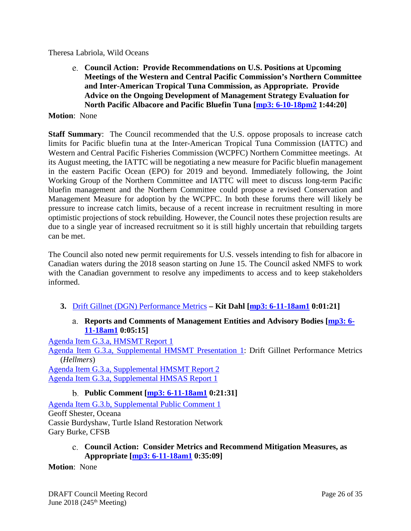<span id="page-25-0"></span>Theresa Labriola, Wild Oceans

**Council Action: Provide Recommendations on U.S. Positions at Upcoming Meetings of the Western and Central Pacific Commission's Northern Committee and Inter-American Tropical Tuna Commission, as Appropriate. Provide Advice on the Ongoing Development of Management Strategy Evaluation for North Pacific Albacore and Pacific Bluefin Tuna [\[mp3: 6-10-18pm2](ftp://ftp.pcouncil.org/pub/R1806_June_2018_Recordings/6-10-18pm2Copy.mp3) 1:44:20]**

**Motion**: None

**Staff Summary**: The Council recommended that the U.S. oppose proposals to increase catch limits for Pacific bluefin tuna at the Inter-American Tropical Tuna Commission (IATTC) and Western and Central Pacific Fisheries Commission (WCPFC) Northern Committee meetings. At its August meeting, the IATTC will be negotiating a new measure for Pacific bluefin management in the eastern Pacific Ocean (EPO) for 2019 and beyond. Immediately following, the Joint Working Group of the Northern Committee and IATTC will meet to discuss long-term Pacific bluefin management and the Northern Committee could propose a revised Conservation and Management Measure for adoption by the WCPFC. In both these forums there will likely be pressure to increase catch limits, because of a recent increase in recruitment resulting in more optimistic projections of stock rebuilding. However, the Council notes these projection results are due to a single year of increased recruitment so it is still highly uncertain that rebuilding targets can be met.

The Council also noted new permit requirements for U.S. vessels intending to fish for albacore in Canadian waters during the 2018 season starting on June 15. The Council asked NMFS to work with the Canadian government to resolve any impediments to access and to keep stakeholders informed.

- <span id="page-25-2"></span><span id="page-25-1"></span>**3.** Drift Gillnet (DGN) [Performance Metrics](https://www.pcouncil.org/wp-content/uploads/2018/05/G3__SitSum_DGN_Performance_Metrics_JUN2018BB.pdf) **– Kit Dahl [\[mp3: 6-11-18am1](ftp://ftp.pcouncil.org/pub/R1806_June_2018_Recordings/6-11-18am1Copy.mp3) 0:01:21]**
	- **Reports and Comments of Management Entities and Advisory Bodies [\[mp3: 6-](ftp://ftp.pcouncil.org/pub/R1806_June_2018_Recordings/6-11-18am1Copy.mp3) [11-18am1](ftp://ftp.pcouncil.org/pub/R1806_June_2018_Recordings/6-11-18am1Copy.mp3) 0:05:15]**

[Agenda Item G.3.a, HMSMT Report 1](https://www.pcouncil.org/wp-content/uploads/2018/05/G3a_HMSMT_Rpt1-DGN_Performance_Metrics_JUN2018BB.pdf)

[Agenda Item G.3.a, Supplemental HMSMT Presentation 1:](https://www.pcouncil.org/wp-content/uploads/2018/06/G3a_Supp_HMSMT_Presentation1_Hellmers_JUNE2018BB.pdf) Drift Gillnet Performance Metrics (*Hellmers*)

[Agenda Item G.3.a, Supplemental HMSMT Report 2](https://www.pcouncil.org/wp-content/uploads/2018/06/G3a_Supp_HMSMT_Rpt2_JUN2018BB.pdf) [Agenda Item G.3.a, Supplemental HMSAS Report 1](https://www.pcouncil.org/wp-content/uploads/2018/06/G3a_Supp_HMSAS_Rpt1_DGN_performance_metrics_JUN2018BB.pdf)

## **Public Comment [\[mp3: 6-11-18am1](ftp://ftp.pcouncil.org/pub/R1806_June_2018_Recordings/6-11-18am1Copy.mp3) 0:21:31]**

<span id="page-25-3"></span>[Agenda Item G.3.b, Supplemental Public Comment 1](https://www.pcouncil.org/wp-content/uploads/2018/06/G3b_Supp_Pub_Comm1_DGN_metrics_Oceana_June2018BB.pdf) Geoff Shester, Oceana Cassie Burdyshaw, Turtle Island Restoration Network Gary Burke, CFSB

### <span id="page-25-4"></span>**Council Action: Consider Metrics and Recommend Mitigation Measures, as Appropriate [\[mp3: 6-11-18am1](ftp://ftp.pcouncil.org/pub/R1806_June_2018_Recordings/6-11-18am1Copy.mp3) 0:35:09]**

**Motion**: None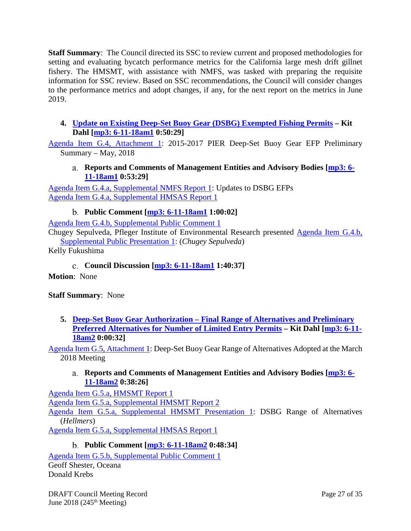**Staff Summary**: The Council directed its SSC to review current and proposed methodologies for setting and evaluating bycatch performance metrics for the California large mesh drift gillnet fishery. The HMSMT, with assistance with NMFS, was tasked with preparing the requisite information for SSC review. Based on SSC recommendations, the Council will consider changes to the performance metrics and adopt changes, if any, for the next report on the metrics in June 2019.

<span id="page-26-0"></span>**4. [Update on Existing Deep-Set Buoy Gear \(DSBG\) Exempted Fishing Permits](https://www.pcouncil.org/wp-content/uploads/2018/05/G4__Sitsum_EFP_update_JUNE2018BB.pdf) – Kit Dahl [\[mp3: 6-11-18am1](ftp://ftp.pcouncil.org/pub/R1806_June_2018_Recordings/6-11-18am1Copy.mp3) 0:50:29]**

<span id="page-26-1"></span>[Agenda Item G.4, Attachment 1:](https://www.pcouncil.org/wp-content/uploads/2018/05/G4_Att1_PFMC_2017-2018.BB_.PIER-DSBG.EFP_.Update_Jun2018BB.pdf) 2015-2017 PIER Deep-Set Buoy Gear EFP Preliminary Summary – May, 2018

**Reports and Comments of Management Entities and Advisory Bodies [\[mp3: 6-](ftp://ftp.pcouncil.org/pub/R1806_June_2018_Recordings/6-11-18am1Copy.mp3) [11-18am1](ftp://ftp.pcouncil.org/pub/R1806_June_2018_Recordings/6-11-18am1Copy.mp3) 0:53:29]**

[Agenda Item G.4.a, Supplemental NMFS Report 1:](https://www.pcouncil.org/wp-content/uploads/2018/06/G4a_Supp_NMFS_Rpt1_Existing_DSBG_EFPs_JUN2018BB.pdf) Updates to DSBG EFPs [Agenda Item G.4.a, Supplemental HMSAS Report 1](https://www.pcouncil.org/wp-content/uploads/2018/06/G4a_Supp_HMSAS_Rpt1_JUN2018BB.pdf)

## **Public Comment [\[mp3: 6-11-18am1](ftp://ftp.pcouncil.org/pub/R1806_June_2018_Recordings/6-11-18am1Copy.mp3) 1:00:02]**

<span id="page-26-2"></span>[Agenda Item G.4.b, Supplemental Public Comment 1](https://www.pcouncil.org/wp-content/uploads/2018/06/G4b_Supp_PubComm1_DSBG_EFP_JUN2018BB.pdf)

Chugey Sepulveda, Pfleger Institute of Environmental Research presented [Agenda Item G.4.b,](https://www.pcouncil.org/wp-content/uploads/2018/06/G4b_Supp_PublicPresentation1_Sepulveda-_HMS_JUNE2018BB..pdf)  [Supplemental Public Presentation 1:](https://www.pcouncil.org/wp-content/uploads/2018/06/G4b_Supp_PublicPresentation1_Sepulveda-_HMS_JUNE2018BB..pdf) (*Chugey Sepulveda*)

<span id="page-26-3"></span>Kelly Fukushima

**Council Discussion [\[mp3: 6-11-18am1](ftp://ftp.pcouncil.org/pub/R1806_June_2018_Recordings/6-11-18am1Copy.mp3) 1:40:37]**

**Motion**: None

**Staff Summary**: None

<span id="page-26-4"></span>**5. Deep-Set Buoy Gear Authorization – [Final Range of Alternatives and Preliminary](https://www.pcouncil.org/wp-content/uploads/2018/05/G5__SitSum_DSBG_ROA_JUN2018BB.pdf)  [Preferred Alternatives for Number of Limited Entry Permits](https://www.pcouncil.org/wp-content/uploads/2018/05/G5__SitSum_DSBG_ROA_JUN2018BB.pdf) – Kit Dahl [\[mp3: 6-11-](ftp://ftp.pcouncil.org/pub/R1806_June_2018_Recordings/6-11-18am2Copy.mp3) [18am2](ftp://ftp.pcouncil.org/pub/R1806_June_2018_Recordings/6-11-18am2Copy.mp3) 0:00:32]**

<span id="page-26-5"></span>[Agenda Item G.5, Attachment 1:](https://www.pcouncil.org/wp-content/uploads/2018/05/G5_Att1_DSBG_ROA_JUN2018BB.pdf) Deep-Set Buoy Gear Range of Alternatives Adopted at the March 2018 Meeting

## **Reports and Comments of Management Entities and Advisory Bodies [\[mp3: 6-](ftp://ftp.pcouncil.org/pub/R1806_June_2018_Recordings/6-11-18am2Copy.mp3) [11-18am2](ftp://ftp.pcouncil.org/pub/R1806_June_2018_Recordings/6-11-18am2Copy.mp3) 0:38:26]**

[Agenda Item G.5.a, HMSMT Report 1](https://www.pcouncil.org/wp-content/uploads/2018/05/G5a_HMSMT_Rpt1_DSBG_ROA_Analysis_Jun208BB.pdf) [Agenda Item G.5.a, Supplemental HMSMT Report 2](https://www.pcouncil.org/wp-content/uploads/2018/06/G5a_Supp_HMSMT_Rpt2_JUN2018BB.pdf) [Agenda Item G.5.a, Supplemental HMSMT Presentation 1:](https://www.pcouncil.org/wp-content/uploads/2018/06/G5a_Supp_HMSMT_Presentation1_Hellmers_DSBG_ROA_JUNE2018BB.pdf) DSBG Range of Alternatives (*Hellmers*) [Agenda Item G.5.a, Supplemental HMSAS Report 1](https://www.pcouncil.org/wp-content/uploads/2018/06/G5a_Supp_HMSAS_Rpt1_DSBG_ROA_JUN2018BB.pdf)

## **Public Comment [\[mp3: 6-11-18am2](ftp://ftp.pcouncil.org/pub/R1806_June_2018_Recordings/6-11-18am2Copy.mp3) 0:48:34]**

<span id="page-26-6"></span>[Agenda Item G.5.b, Supplemental Public Comment 1](https://www.pcouncil.org/wp-content/uploads/2018/06/G5b_Supp_Pub_Comm1_DGN_Auth_Oceana_June2018BB.pdf) Geoff Shester, Oceana Donald Krebs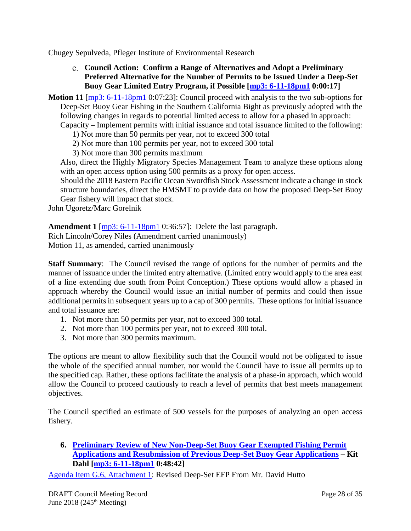<span id="page-27-0"></span>Chugey Sepulveda, Pfleger Institute of Environmental Research

**Council Action: Confirm a Range of Alternatives and Adopt a Preliminary Preferred Alternative for the Number of Permits to be Issued Under a Deep-Set Buoy Gear Limited Entry Program, if Possible [\[mp3: 6-11-18pm1](ftp://ftp.pcouncil.org/pub/R1806_June_2018_Recordings/6-11-18pm1Copy.mp3) 0:00:17]**

**Motion 11** [\[mp3: 6-11-18pm1](ftp://ftp.pcouncil.org/pub/R1806_June_2018_Recordings/6-11-18pm1Copy.mp3) 0:07:23]: Council proceed with analysis to the two sub-options for Deep-Set Buoy Gear Fishing in the Southern California Bight as previously adopted with the following changes in regards to potential limited access to allow for a phased in approach: Capacity – Implement permits with initial issuance and total issuance limited to the following:

1) Not more than 50 permits per year, not to exceed 300 total

- 2) Not more than 100 permits per year, not to exceed 300 total
- 3) Not more than 300 permits maximum

Also, direct the Highly Migratory Species Management Team to analyze these options along with an open access option using 500 permits as a proxy for open access.

Should the 2018 Eastern Pacific Ocean Swordfish Stock Assessment indicate a change in stock structure boundaries, direct the HMSMT to provide data on how the proposed Deep-Set Buoy Gear fishery will impact that stock.

John Ugoretz/Marc Gorelnik

**Amendment 1** [\[mp3: 6-11-18pm1](ftp://ftp.pcouncil.org/pub/R1806_June_2018_Recordings/6-11-18pm1Copy.mp3) 0:36:57]: Delete the last paragraph.

Rich Lincoln/Corey Niles (Amendment carried unanimously) Motion 11, as amended, carried unanimously

**Staff Summary**: The Council revised the range of options for the number of permits and the manner of issuance under the limited entry alternative. (Limited entry would apply to the area east of a line extending due south from Point Conception.) These options would allow a phased in approach whereby the Council would issue an initial number of permits and could then issue additional permits in subsequent years up to a cap of 300 permits. These options for initial issuance and total issuance are:

- 1. Not more than 50 permits per year, not to exceed 300 total.
- 2. Not more than 100 permits per year, not to exceed 300 total.
- 3. Not more than 300 permits maximum.

The options are meant to allow flexibility such that the Council would not be obligated to issue the whole of the specified annual number, nor would the Council have to issue all permits up to the specified cap. Rather, these options facilitate the analysis of a phase-in approach, which would allow the Council to proceed cautiously to reach a level of permits that best meets management objectives.

The Council specified an estimate of 500 vessels for the purposes of analyzing an open access fishery.

<span id="page-27-1"></span>**6. [Preliminary Review of New Non-Deep-Set Buoy Gear Exempted Fishing Permit](https://www.pcouncil.org/wp-content/uploads/2018/05/G6__SitSum_HMS_EFPs_JUN2018BB.pdf)  [Applications and Resubmission of Previous Deep-Set Buoy Gear Applications](https://www.pcouncil.org/wp-content/uploads/2018/05/G6__SitSum_HMS_EFPs_JUN2018BB.pdf) – Kit Dahl [\[mp3: 6-11-18pm1](ftp://ftp.pcouncil.org/pub/R1806_June_2018_Recordings/6-11-18pm1Copy.mp3) 0:48:42]**

[Agenda Item G.6, Attachment 1:](https://www.pcouncil.org/wp-content/uploads/2018/05/G6_Att1_DSBG_EFP_resubmitted_application_Hutto_Jun2018BB.pdf) Revised Deep-Set EFP From Mr. David Hutto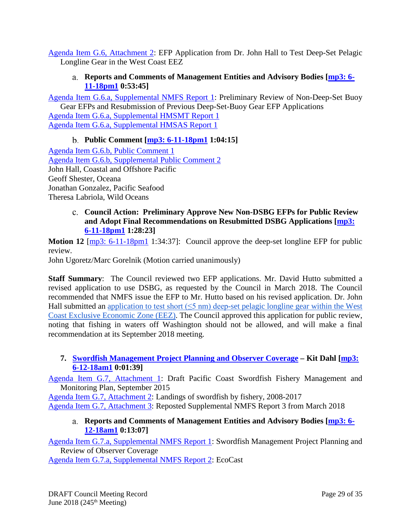<span id="page-28-0"></span>[Agenda Item G.6, Attachment 2:](https://www.pcouncil.org/wp-content/uploads/2018/05/G6_Att2_Hall_deep_set_longline_EFP_application_JUN2018BB.pdf) EFP Application from Dr. John Hall to Test Deep-Set Pelagic Longline Gear in the West Coast EEZ

## **Reports and Comments of Management Entities and Advisory Bodies [\[mp3: 6-](ftp://ftp.pcouncil.org/pub/R1806_June_2018_Recordings/6-11-18pm1Copy.mp3) [11-18pm1](ftp://ftp.pcouncil.org/pub/R1806_June_2018_Recordings/6-11-18pm1Copy.mp3) 0:53:45]**

[Agenda Item G.6.a, Supplemental NMFS Report 1:](https://www.pcouncil.org/wp-content/uploads/2018/06/G6a_Supp_NMFS_Rpt1_Non-DSBG_EFPs_JUN2018BB.pdf) Preliminary Review of Non-Deep-Set Buoy Gear EFPs and Resubmission of Previous Deep-Set-Buoy Gear EFP Applications

[Agenda Item G.6.a, Supplemental HMSMT Report 1](https://www.pcouncil.org/wp-content/uploads/2018/06/G6a_Supp_HMSMT_Rpt1_JUN2018BB.pdf) [Agenda Item G.6.a, Supplemental HMSAS Report 1](https://www.pcouncil.org/wp-content/uploads/2018/06/G6a_Supp_HMSAS_Rpt1_EFPs_JUN2018BB.pdf)

## **Public Comment [\[mp3: 6-11-18pm1](ftp://ftp.pcouncil.org/pub/R1806_June_2018_Recordings/6-11-18pm1Copy.mp3) 1:04:15]**

<span id="page-28-1"></span>[Agenda Item G.6.b, Public Comment 1](https://www.pcouncil.org/wp-content/uploads/2018/05/G6b_PubComm1_JUN2018BB.pdf) [Agenda Item G.6.b, Supplemental Public Comment 2](https://www.pcouncil.org/wp-content/uploads/2018/06/G6b_Supp_Pub_Comm2_DSBG_EFP_JUN2018BB.pdf) John Hall, Coastal and Offshore Pacific Geoff Shester, Oceana Jonathan Gonzalez, Pacific Seafood Theresa Labriola, Wild Oceans

## <span id="page-28-2"></span>**Council Action: Preliminary Approve New Non-DSBG EFPs for Public Review and Adopt Final Recommendations on Resubmitted DSBG Applications [\[mp3:](ftp://ftp.pcouncil.org/pub/R1806_June_2018_Recordings/6-11-18pm1Copy.mp3)  [6-11-18pm1](ftp://ftp.pcouncil.org/pub/R1806_June_2018_Recordings/6-11-18pm1Copy.mp3) 1:28:23]**

**Motion 12** [\[mp3: 6-11-18pm1](ftp://ftp.pcouncil.org/pub/R1806_June_2018_Recordings/6-11-18pm1Copy.mp3) 1:34:37]: Council approve the deep-set longline EFP for public review.

John Ugoretz/Marc Gorelnik (Motion carried unanimously)

**Staff Summary**: The Council reviewed two EFP applications. Mr. David Hutto submitted a revised application to use DSBG, as requested by the Council in March 2018. The Council recommended that NMFS issue the EFP to Mr. Hutto based on his revised application. Dr. John Hall submitted an application to test short  $(\leq 5 \text{ nm})$  deep-set pelagic longline gear within the West [Coast Exclusive Economic Zone \(EEZ\).](https://www.pcouncil.org/wp-content/uploads/2018/05/G6_Att2_Hall_deep_set_longline_EFP_application_JUN2018BB.pdf) The Council approved this application for public review, noting that fishing in waters off Washington should not be allowed, and will make a final recommendation at its September 2018 meeting.

## <span id="page-28-3"></span>**7. [Swordfish Management Project Planning and Observer Coverage](https://www.pcouncil.org/wp-content/uploads/2018/05/G7__SitSum_SwordfishMgt_JUNE2018BB.pdf) – Kit Dahl [\[mp3:](ftp://ftp.pcouncil.org/pub/R1806_June_2018_Recordings/6-12-18am1Copy.mp3)  [6-12-18am1](ftp://ftp.pcouncil.org/pub/R1806_June_2018_Recordings/6-12-18am1Copy.mp3) 0:01:39]**

[Agenda Item G.7, Attachment 1:](https://www.pcouncil.org/wp-content/uploads/2018/05/G7_Att1_Swordfish-Plan_fromSept2015BB_Jun2018BB.pdf) Draft Pacific Coast Swordfish Fishery Management and Monitoring Plan, September 2015

[Agenda Item G.7, Attachment 2:](https://www.pcouncil.org/wp-content/uploads/2018/05/G7_Att2_Landings_of_swordfish_2008-2017_Jun2018BB.pdf) Landings of swordfish by fishery, 2008-2017

<span id="page-28-4"></span>[Agenda Item G.7, Attachment 3:](https://www.pcouncil.org/wp-content/uploads/2018/05/G7_Att3_NMFSRpt_from03.2018BB_Jun2018BB.pdf) Reposted Supplemental NMFS Report 3 from March 2018

## **Reports and Comments of Management Entities and Advisory Bodies [\[mp3: 6-](ftp://ftp.pcouncil.org/pub/R1806_June_2018_Recordings/6-12-18am1Copy.mp3) [12-18am1](ftp://ftp.pcouncil.org/pub/R1806_June_2018_Recordings/6-12-18am1Copy.mp3) 0:13:07]**

[Agenda Item G.7.a, Supplemental NMFS Report 1:](https://www.pcouncil.org/wp-content/uploads/2018/06/G7a_Supp_NMFS_Rpt1_SMMP_IncrMonitoring_JUN2018BB.pdf) Swordfish Management Project Planning and Review of Observer Coverage

[Agenda Item G.7.a, Supplemental NMFS Report 2:](https://www.pcouncil.org/wp-content/uploads/2018/06/G7a_Supp_NMFS_Rpt2_SMMPMon_JUN2018BB.pdf) EcoCast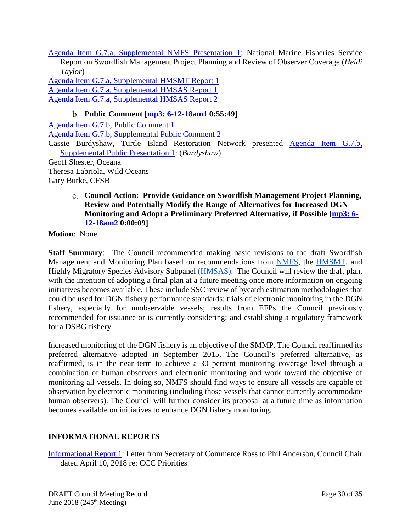[Agenda Item G.7.a, Supplemental NMFS Presentation 1:](https://www.pcouncil.org/wp-content/uploads/2018/06/G7a_Supp_NMFS_Presentation1_Taylor_JUNE2018BB.pdf) National Marine Fisheries Service Report on Swordfish Management Project Planning and Review of Observer Coverage (*Heidi Taylor*)

[Agenda Item G.7.a, Supplemental HMSMT Report 1](https://www.pcouncil.org/wp-content/uploads/2018/06/G7a_Supp_HMSMT_Rpt1_JUN2018BB.pdf) [Agenda Item G.7.a, Supplemental HMSAS Report 1](https://www.pcouncil.org/wp-content/uploads/2018/06/G7a_Supp_HMSAS_Rpt1_SMMP_JUN2018BB.pdf) [Agenda Item G.7.a, Supplemental HMSAS Report 2](https://www.pcouncil.org/wp-content/uploads/2018/06/G7a_Supp_HMSAS_Rpt2_SMMP_JUN2018BB.pdf)

## **Public Comment [\[mp3: 6-12-18am1](ftp://ftp.pcouncil.org/pub/R1806_June_2018_Recordings/6-12-18am1Copy.mp3) 0:55:49]**

<span id="page-29-0"></span>[Agenda Item G.7.b, Public Comment 1](https://www.pcouncil.org/wp-content/uploads/2018/05/G7b_PubComm1_DGN_JUN2018BB.pdf) [Agenda Item G.7.b, Supplemental Public Comment 2](https://www.pcouncil.org/wp-content/uploads/2018/06/G7b_Supp_Pub_Comm2_SwordfishMgt_JUNE2018BB.pdf) Cassie Burdyshaw, Turtle Island Restoration Network presented [Agenda Item G.7.b,](https://www.pcouncil.org/wp-content/uploads/2018/06/G7b_Supp_PublicPresentation1_Burdyshaw_DGN_JUNE2018BB.ppsx)  [Supplemental Public Presentation 1:](https://www.pcouncil.org/wp-content/uploads/2018/06/G7b_Supp_PublicPresentation1_Burdyshaw_DGN_JUNE2018BB.ppsx) (*Burdyshaw*) Geoff Shester, Oceana

Theresa Labriola, Wild Oceans

<span id="page-29-1"></span>Gary Burke, CFSB

## **Council Action: Provide Guidance on Swordfish Management Project Planning, Review and Potentially Modify the Range of Alternatives for Increased DGN Monitoring and Adopt a Preliminary Preferred Alternative, if Possible [\[mp3: 6-](ftp://ftp.pcouncil.org/pub/R1806_June_2018_Recordings/6-12-18am2Copy.mp3) [12-18am2](ftp://ftp.pcouncil.org/pub/R1806_June_2018_Recordings/6-12-18am2Copy.mp3) 0:00:09]**

**Motion**: None

**Staff Summary**: The Council recommended making basic revisions to the draft Swordfish Management and Monitoring Plan based on recommendations from [NMFS,](https://www.pcouncil.org/wp-content/uploads/2018/06/G7a_Supp_NMFS_Rpt1_SMMP_IncrMonitoring_JUN2018BB.pdf) the [HMSMT,](https://www.pcouncil.org/wp-content/uploads/2018/06/G7a_Supp_HMSMT_Rpt1_JUN2018BB.pdf) and Highly Migratory Species Advisory Subpanel [\(HMSAS\)](https://www.pcouncil.org/wp-content/uploads/2018/06/G7a_Supp_HMSAS_Rpt1_SMMP_JUN2018BB.pdf). The Council will review the draft plan, with the intention of adopting a final plan at a future meeting once more information on ongoing initiatives becomes available. These include SSC review of bycatch estimation methodologies that could be used for DGN fishery performance standards; trials of electronic monitoring in the DGN fishery, especially for unobservable vessels; results from EFPs the Council previously recommended for issuance or is currently considering; and establishing a regulatory framework for a DSBG fishery.

Increased monitoring of the DGN fishery is an objective of the SMMP. The Council reaffirmed its preferred alternative adopted in September 2015. The Council's preferred alternative, as reaffirmed, is in the near term to achieve a 30 percent monitoring coverage level through a combination of human observers and electronic monitoring and work toward the objective of monitoring all vessels. In doing so, NMFS should find ways to ensure all vessels are capable of observation by electronic monitoring (including those vessels that cannot currently accommodate human observers). The Council will further consider its proposal at a future time as information becomes available on initiatives to enhance DGN fishery monitoring.

## <span id="page-29-2"></span>**INFORMATIONAL REPORTS**

[Informational Report 1:](https://www.pcouncil.org/wp-content/uploads/2018/05/IR1_RossToAnderson_CCCprioritiesLetter_Jun2018BB.pdf) Letter from Secretary of Commerce Ross to Phil Anderson, Council Chair dated April 10, 2018 re: CCC Priorities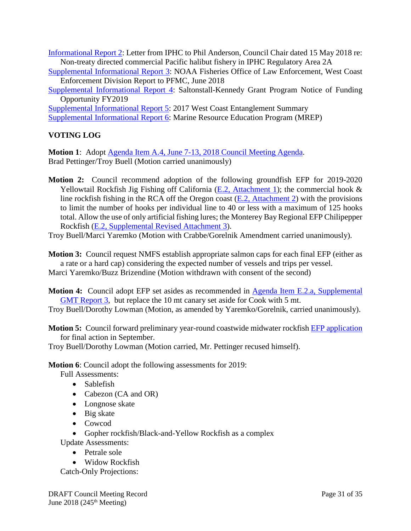[Informational Report 2:](https://www.pcouncil.org/wp-content/uploads/2018/05/IR2_IPHC_to_Anderson_JUN2018BB.pdf) Letter from IPHC to Phil Anderson, Council Chair dated 15 May 2018 re: Non-treaty directed commercial Pacific halibut fishery in IPHC Regulatory Area 2A

- [Supplemental Informational Report 3:](https://www.pcouncil.org/wp-content/uploads/2018/06/SuppIR3_Supp_2018_WCD_PFMC_Annual_Report-Final_5-18-2018_JUNE2018BB.pdf) NOAA Fisheries Office of Law Enforcement, West Coast Enforcement Division Report to PFMC, June 2018
- [Supplemental Informational Report 4:](https://www.pcouncil.org/wp-content/uploads/2018/06/SuppIR4_S-K2019Grants_JUNE2018BB.pdf) Saltonstall-Kennedy Grant Program Notice of Funding Opportunity FY2019

[Supplemental Informational Report 5:](https://www.pcouncil.org/wp-content/uploads/2018/06/SuppIR5_WhaleEntanglementRpt_JUNE2018BB.pdf) 2017 West Coast Entanglement Summary [Supplemental Informational Report 6:](https://www.pcouncil.org/wp-content/uploads/2018/06/SuppIR6_MREP_Update_JUNE2018BB.pdf) Marine Resource Education Program (MREP)

## <span id="page-30-0"></span>**VOTING LOG**

**Motion 1**: Adopt [Agenda Item A.4, June 7-13, 2018 Council Meeting Agenda.](https://www.pcouncil.org/wp-content/uploads/2018/05/A4__June2018_DetailedAgenda_JuneBB2018.pdf) Brad Pettinger/Troy Buell (Motion carried unanimously)

**Motion 2:** Council recommend adoption of the following groundfish EFP for 2019-2020 Yellowtail Rockfish Jig Fishing off California (E.2, [Attachment 1\)](https://www.pcouncil.org/wp-content/uploads/2018/05/E2_Att1_PlattEmleyApp_Suggested_Updates_003_June2018BB.pdf); the commercial hook & line rockfish fishing in the RCA off the Oregon coast  $(E.2,$  Attachment 2) with the provisions to limit the number of hooks per individual line to 40 or less with a maximum of 125 hooks total. Allow the use of only artificial fishing lures; the Monterey Bay Regional EFP Chilipepper Rockfish [\(E.2, Supplemental Revised Attachment 3\)](https://www.pcouncil.org/wp-content/uploads/2018/06/E2_Supp_REVISED_Att3_Monterey_Bay_EFP_Final_Jun2018BB.pdf).

Troy Buell/Marci Yaremko (Motion with Crabbe/Gorelnik Amendment carried unanimously).

**Motion 3:** Council request NMFS establish appropriate salmon caps for each final EFP (either as a rate or a hard cap) considering the expected number of vessels and trips per vessel. Marci Yaremko/Buzz Brizendine (Motion withdrawn with consent of the second)

**Motion 4:** Council adopt EFP set asides as recommended in Agenda Item E.2.a, Supplemental [GMT Report 3,](https://www.pcouncil.org/wp-content/uploads/2018/06/E2a_Supp_GMT_Rpt3_UPATED_EXEMPTED_FISHING_PERMIT_SET_JUN2018BB.pdf) but replace the 10 mt canary set aside for Cook with 5 mt.

Troy Buell/Dorothy Lowman (Motion, as amended by Yaremko/Gorelnik, carried unanimously).

**Motion 5:** Council forward preliminary year-round coastwide midwater rockfish **EFP** application for final action in September.

Troy Buell/Dorothy Lowman (Motion carried, Mr. Pettinger recused himself).

**Motion 6**: Council adopt the following assessments for 2019:

- Full Assessments:
	- Sablefish
	- Cabezon (CA and OR)
	- Longnose skate
	- Big skate
	- Cowcod

• Gopher rockfish/Black-and-Yellow Rockfish as a complex Update Assessments:

- Petrale sole
- Widow Rockfish

Catch-Only Projections: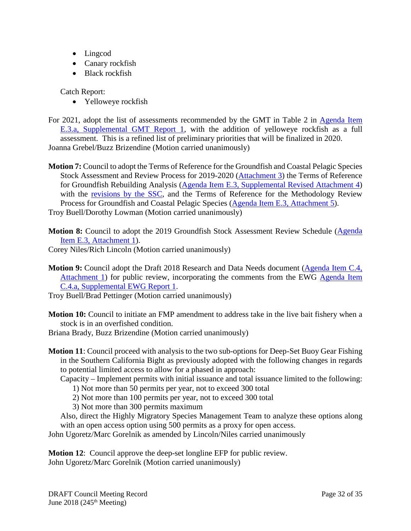- Lingcod
- Canary rockfish
- Black rockfish

Catch Report:

• Yelloweye rockfish

For 2021, adopt the list of assessments recommended by the GMT in Table 2 in [Agenda Item](https://www.pcouncil.org/wp-content/uploads/2018/06/E3a_Supp_GMT_Rpt1_JUN2018BB.pdf)  [E.3.a, Supplemental GMT Report 1,](https://www.pcouncil.org/wp-content/uploads/2018/06/E3a_Supp_GMT_Rpt1_JUN2018BB.pdf) with the addition of yelloweye rockfish as a full assessment. This is a refined list of preliminary priorities that will be finalized in 2020. Joanna Grebel/Buzz Brizendine (Motion carried unanimously)

**Motion 7:** Council to adopt the Terms of Reference for the Groundfish and Coastal Pelagic Species Stock Assessment and Review Process for 2019-2020 [\(Attachment 3\)](https://www.pcouncil.org/wp-content/uploads/2018/05/E3_Att3_Draft_Stock_Assessment_ToR_2019-20_June2018BB.pdf) the Terms of Reference for Groundfish Rebuilding Analysis [\(Agenda Item E.3, Supplemental Revised Attachment 4\)](https://www.pcouncil.org/wp-content/uploads/2018/06/E3_Supp_REVISEDAtt4_DRAFT_GF_Rebuild_ToR_2019-20_June2018BB.pdf) with the [revisions by the SSC,](https://www.pcouncil.org/wp-content/uploads/2018/06/E3a_Supp_SSC_Rpt1_JUN2018BB.pdf) and the Terms of Reference for the Methodology Review Process for Groundfish and Coastal Pelagic Species [\(Agenda Item E.3, Attachment 5\)](https://www.pcouncil.org/wp-content/uploads/2018/05/E3_Att5_Draft_Methodology_ToR_CPSGF-2019-20_June2018BB.pdf).

Troy Buell/Dorothy Lowman (Motion carried unanimously)

**Motion 8:** Council to adopt the 2019 Groundfish Stock Assessment Review Schedule (Agenda) [Item E.3, Attachment 1\)](https://www.pcouncil.org/wp-content/uploads/2018/05/E3_Att1_NMFS_StockAssessmentPrioritization_June2018BB.pdf).

Corey Niles/Rich Lincoln (Motion carried unanimously)

**Motion 9:** Council adopt the Draft 2018 Research and Data Needs document [\(Agenda Item C.4,](https://www.pcouncil.org/wp-content/uploads/2018/05/C4_Att1_RD_Needs_May2018_June2018BB_electronic_only.pdf)  [Attachment 1\)](https://www.pcouncil.org/wp-content/uploads/2018/05/C4_Att1_RD_Needs_May2018_June2018BB_electronic_only.pdf) for public review, incorporating the comments from the EWG [Agenda Item](https://www.pcouncil.org/wp-content/uploads/2018/06/C4a_Supp_EWG_Rpt1_Jun2018BB.pdf)  [C.4.a, Supplemental EWG Report](https://www.pcouncil.org/wp-content/uploads/2018/06/C4a_Supp_EWG_Rpt1_Jun2018BB.pdf) 1.

Troy Buell/Brad Pettinger (Motion carried unanimously)

**Motion 10:** Council to initiate an FMP amendment to address take in the live bait fishery when a stock is in an overfished condition.

Briana Brady, Buzz Brizendine (Motion carried unanimously)

- **Motion 11**: Council proceed with analysis to the two sub-options for Deep-Set Buoy Gear Fishing in the Southern California Bight as previously adopted with the following changes in regards to potential limited access to allow for a phased in approach:
	- Capacity Implement permits with initial issuance and total issuance limited to the following:
		- 1) Not more than 50 permits per year, not to exceed 300 total
		- 2) Not more than 100 permits per year, not to exceed 300 total
		- 3) Not more than 300 permits maximum

Also, direct the Highly Migratory Species Management Team to analyze these options along with an open access option using 500 permits as a proxy for open access.

John Ugoretz/Marc Gorelnik as amended by Lincoln/Niles carried unanimously

**Motion 12**: Council approve the deep-set longline EFP for public review. John Ugoretz/Marc Gorelnik (Motion carried unanimously)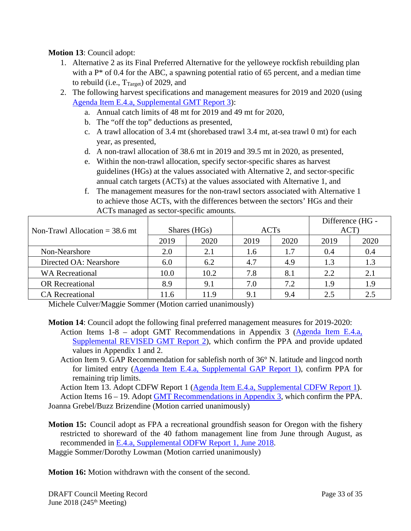### **Motion 13**: Council adopt:

- 1. Alternative 2 as its Final Preferred Alternative for the yelloweye rockfish rebuilding plan with a P<sup>\*</sup> of 0.4 for the ABC, a spawning potential ratio of 65 percent, and a median time to rebuild (i.e.,  $T_{\text{Target}}$ ) of 2029, and
- 2. The following harvest specifications and management measures for 2019 and 2020 (using [Agenda Item E.4.a, Supplemental GMT Report 3\)](https://www.pcouncil.org/wp-content/uploads/2018/06/E4a_Supp_REVISED_GMT_Rpt2_JUN2018BB.pdf):
	- a. Annual catch limits of 48 mt for 2019 and 49 mt for 2020,
	- b. The "off the top" deductions as presented,
	- c. A trawl allocation of 3.4 mt (shorebased trawl 3.4 mt, at-sea trawl 0 mt) for each year, as presented,
	- d. A non-trawl allocation of 38.6 mt in 2019 and 39.5 mt in 2020, as presented,
	- e. Within the non-trawl allocation, specify sector-specific shares as harvest guidelines (HGs) at the values associated with Alternative 2, and sector-specific annual catch targets (ACTs) at the values associated with Alternative 1, and
	- f. The management measures for the non-trawl sectors associated with Alternative 1 to achieve those ACTs, with the differences between the sectors' HGs and their ACTs managed as sector-specific amounts.

|                                  |              |      |             |      | Difference (HG - |      |
|----------------------------------|--------------|------|-------------|------|------------------|------|
| Non-Trawl Allocation $=$ 38.6 mt | Shares (HGs) |      | <b>ACTs</b> |      | ACT)             |      |
|                                  | 2019         | 2020 | 2019        | 2020 | 2019             | 2020 |
| Non-Nearshore                    | 2.0          | 2.1  | 1.6         | 1.7  | 0.4              | 0.4  |
| Directed OA: Nearshore           | 6.0          | 6.2  | 4.7         | 4.9  | 1.3              | 1.3  |
| <b>WA Recreational</b>           | 10.0         | 10.2 | 7.8         | 8.1  | 2.2              | 2.1  |
| <b>OR</b> Recreational           | 8.9          | 9.1  | 7.0         | 7.2  | 1.9              | 1.9  |
| <b>CA</b> Recreational           | 11.6         | 11.9 | 9.1         | 9.4  | 2.5              | 2.5  |

Michele Culver/Maggie Sommer (Motion carried unanimously)

**Motion 14**: Council adopt the following final preferred management measures for 2019-2020:

Action Items 1-8 – adopt GMT Recommendations in Appendix 3 [\(Agenda Item E.4.a,](https://www.pcouncil.org/wp-content/uploads/2018/06/E4a_Supp_REVISED_GMT_Rpt2_JUN2018BB.pdf)  [Supplemental REVISED GMT Report 2\)](https://www.pcouncil.org/wp-content/uploads/2018/06/E4a_Supp_REVISED_GMT_Rpt2_JUN2018BB.pdf), which confirm the PPA and provide updated values in Appendix 1 and 2.

Action Item 9. GAP Recommendation for sablefish north of 36° N. latitude and lingcod north for limited entry [\(Agenda Item E.4.a, Supplemental GAP Report 1\)](https://www.pcouncil.org/wp-content/uploads/2018/06/E4a_Supp_GAP_Rpt1_Updated_JUN2018BB.pdf), confirm PPA for remaining trip limits.

Action Item 13. Adopt CDFW Report 1 [\(Agenda Item E.4.a, Supplemental CDFW Report 1\)](https://www.pcouncil.org/wp-content/uploads/2018/06/E4a_Supp_CDFW_Rpt1_JUN2018BB.pdf). Action Items 16 – 19. Adopt **GMT** Recommendations in Appendix 3, which confirm the PPA. Joanna Grebel/Buzz Brizendine (Motion carried unanimously)

**Motion 15:** Council adopt as FPA a recreational groundfish season for Oregon with the fishery restricted to shoreward of the 40 fathom management line from June through August, as recommended in [E.4.a, Supplemental ODFW Report 1, June 2018.](https://www.pcouncil.org/wp-content/uploads/2018/06/E4a_Supp_ODFW_Rpt1_JUN2018BB.pdf)

Maggie Sommer/Dorothy Lowman (Motion carried unanimously)

**Motion 16:** Motion withdrawn with the consent of the second.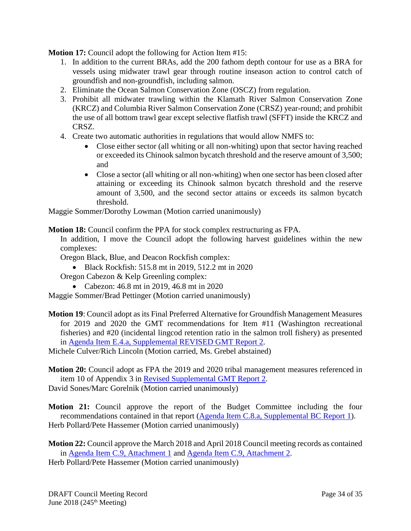**Motion 17:** Council adopt the following for Action Item #15:

- 1. In addition to the current BRAs, add the 200 fathom depth contour for use as a BRA for vessels using midwater trawl gear through routine inseason action to control catch of groundfish and non-groundfish, including salmon.
- 2. Eliminate the Ocean Salmon Conservation Zone (OSCZ) from regulation.
- 3. Prohibit all midwater trawling within the Klamath River Salmon Conservation Zone (KRCZ) and Columbia River Salmon Conservation Zone (CRSZ) year-round; and prohibit the use of all bottom trawl gear except selective flatfish trawl (SFFT) inside the KRCZ and CRSZ.
- 4. Create two automatic authorities in regulations that would allow NMFS to:
	- Close either sector (all whiting or all non-whiting) upon that sector having reached or exceeded its Chinook salmon bycatch threshold and the reserve amount of 3,500; and
	- Close a sector (all whiting or all non-whiting) when one sector has been closed after attaining or exceeding its Chinook salmon bycatch threshold and the reserve amount of 3,500, and the second sector attains or exceeds its salmon bycatch threshold.

Maggie Sommer/Dorothy Lowman (Motion carried unanimously)

**Motion 18:** Council confirm the PPA for stock complex restructuring as FPA.

In addition, I move the Council adopt the following harvest guidelines within the new complexes:

Oregon Black, Blue, and Deacon Rockfish complex:

• Black Rockfish: 515.8 mt in 2019, 512.2 mt in 2020

Oregon Cabezon & Kelp Greenling complex:

• Cabezon: 46.8 mt in 2019, 46.8 mt in 2020

Maggie Sommer/Brad Pettinger (Motion carried unanimously)

**Motion 19**: Council adopt as its Final Preferred Alternative for Groundfish Management Measures for 2019 and 2020 the GMT recommendations for Item #11 (Washington recreational fisheries) and #20 (incidental lingcod retention ratio in the salmon troll fishery) as presented in [Agenda Item E.4.a, Supplemental REVISED GMT Report 2.](https://www.pcouncil.org/wp-content/uploads/2018/06/E4a_Supp_REVISED_GMT_Rpt2_JUN2018BB.pdf)

Michele Culver/Rich Lincoln (Motion carried, Ms. Grebel abstained)

**Motion 20:** Council adopt as FPA the 2019 and 2020 tribal management measures referenced in item 10 of Appendix 3 in [Revised Supplemental GMT Report 2.](https://www.pcouncil.org/wp-content/uploads/2018/06/E4a_Supp_REVISED_GMT_Rpt2_JUN2018BB.pdf)

David Sones/Marc Gorelnik (Motion carried unanimously)

**Motion 21:** Council approve the report of the Budget Committee including the four recommendations contained in that report [\(Agenda Item C.8.a, Supplemental BC Report 1\)](https://www.pcouncil.org/wp-content/uploads/2018/06/C8a_Supp_BudCom_Rpt1_JUN2018BB.pdf). Herb Pollard/Pete Hassemer (Motion carried unanimously)

**Motion 22:** Council approve the March 2018 and April 2018 Council meeting records as contained in [Agenda Item C.9, Attachment 1](https://www.pcouncil.org/wp-content/uploads/2018/05/C9_Att1_DRAFT_Mar18MtgRecord_June2018BB.pdf) and [Agenda Item C.9, Attachment 2.](https://www.pcouncil.org/wp-content/uploads/2018/05/C9_Att2_DRAFT_Apr18MtgRecord_June2018BB.pdf)

Herb Pollard/Pete Hassemer (Motion carried unanimously)